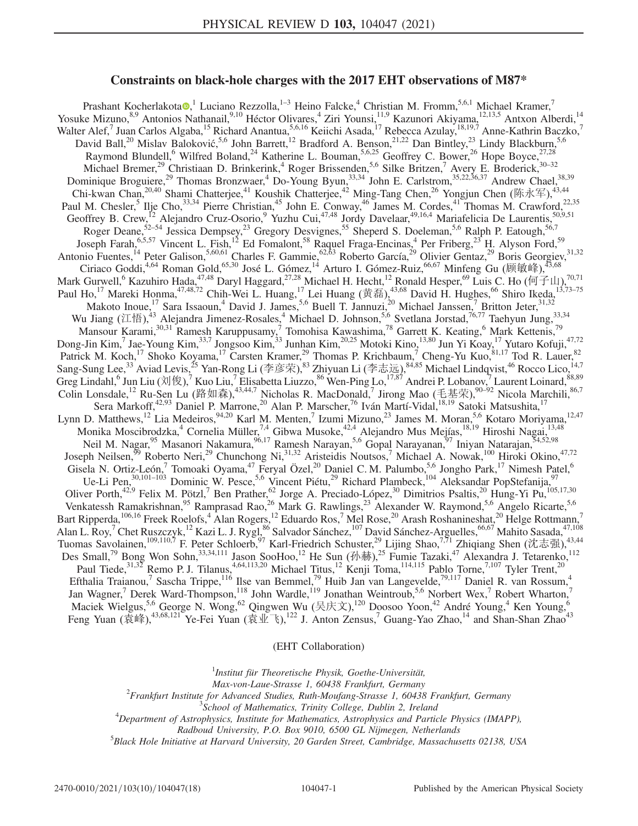# Constraints on black-hole charges with the 2017 EHT observations of M87\*

Prashant Kocherlakota  $\bullet$ ,<sup>1</sup> Luciano Rezzolla,<sup>1–3</sup> Heino Falcke,<sup>4</sup> Christian M. Fromm,<sup>5,6,1</sup> Michael Kramer,<sup>7</sup> Yosuke Mizuno, <sup>8,9</sup> Antonios Nathanail, <sup>9,10</sup> Héctor Olivares, <sup>4</sup> Ziri Younsi, <sup>11,9</sup> Kazunori Akiyama, <sup>12,13,5</sup> Antxon Alberdi, <sup>14</sup> Walter Alef,<sup>7</sup> Juan Carlos Algaba,<sup>15</sup> Richard Anantua,<sup>5,6,16</sup> Keiichi Asada,<sup>17</sup> Rebecca Azulay,<sup>18,19,7</sup> Anne-Kathrin Baczko,<sup>7</sup> David Ball,<sup>20</sup> Mislav Baloković,<sup>5,6</sup> John Barrett,<sup>12</sup> Bradford A. Benson,<sup>21,22</sup> Dan Bintley,<sup>23</sup> Lindy Blackburn,<sup>5,6</sup> Raymond Blundell,<sup>6</sup> Wilfred Boland,<sup>24</sup> Katherine L. Bouman,<sup>5,6,25</sup> Geoffrey C. Bower,<sup>26</sup> Hope Boyce,<sup>27,28</sup> Michael Bremer,<sup>29</sup> Christiaan D. Brinkerink,<sup>4</sup> Roger Brissenden,<sup>5,6</sup> Silke Britzen,<sup>7</sup> Avery E. Broderick,<sup>30–32</sup> Dominique Broguiere,<sup>29</sup> Thomas Bronzwaer,<sup>4</sup> Do-Young Byun,<sup>33,34</sup> John E. Carlstrom,<sup>35,22,36,37</sup> Andrew Chael,<sup>38,39</sup> Chi-kwan Chan,  $20,40$  Shami Chatterjee,  $41$  Koushik Chatterjee,  $42$  Ming-Tang Chen,  $26$  Yongjun Chen (陈永军),  $43,44$ Paul M. Chesler,<sup>5</sup> Ilje Cho,<sup>33,34</sup> Pierre Christian,<sup>45</sup> John E. Conway,<sup>46</sup> James M. Cordes,<sup>41</sup> Thomas M. Crawford,<sup>22,35</sup> Geoffrey B. Crew,<sup>12</sup> Alejandro Cruz-Osorio,<sup>9</sup> Yuzhu Cui,<sup>47,48</sup> Jordy Davelaar,<sup>49,16,4</sup> Mariafelicia De Laurentis,<sup>50,9,51</sup> Roger Deane,<sup>52–54</sup> Jessica Dempsey,<sup>23</sup> Gregory Desvignes,<sup>55</sup> Sheperd S. Doeleman,<sup>5,6</sup> Ralph P. Eatough,<sup>56,7</sup> Joseph Farah,<sup>6,5,57</sup> Vincent L. Fish,<sup>12</sup> Ed Fomalont,<sup>58</sup> Raquel Fraga-Encinas,<sup>4</sup> Per Friberg,<sup>23</sup> H. Alyson Ford,<sup>59</sup> Antonio Fuentes,<sup>14</sup> Peter Galison,<sup>5,60,61</sup> Charles F. Gammie,<sup>62,63</sup> Roberto García,<sup>29</sup> Olivier Gentaz,<sup>29</sup> Boris Georgiev,<sup>31,32</sup> Ciriaco Goddi, <sup>4,64</sup> Roman Gold, <sup>65,30</sup> José L. Gómez, <sup>14</sup> Arturo I. Gómez-Ruiz, <sup>66,67</sup> Minfeng Gu (顾敏峰), <sup>43,68</sup> Mark Gurwell,<sup>6</sup> Kazuhiro Hada,<sup>47,48</sup> Daryl Haggard,<sup>27,28</sup> Michael H. Hecht,<sup>12</sup> Ronald Hesper,<sup>69</sup> Luis C. Ho (何子山),<sup>70,71</sup> Paul Ho,<sup>17</sup> Mareki Honma,<sup>47,48,72</sup> Chih-Wei L. Huang,<sup>17</sup> Lei Huang (黄磊),<sup>43,68</sup> David H. Hughes,<sup>66</sup> Shiro Ikeda,<sup>13,73–75</sup> Makoto Inoue,<sup>17</sup> Sara Issaoun,<sup>4</sup> David J. James,<sup>5,6</sup> Buell T. Jannuzi,<sup>20</sup> Michael Janssen,<sup>7</sup> Britton Jeter,<sup>31,32</sup> Wu Jiang (江悟),<sup>43</sup> Alejandra Jimenez-Rosales,<sup>4</sup> Michael D. Johnson,<sup>5,6</sup> Svetlana Jorstad,<sup>76,77</sup> Taehyun Jung,<sup>33,34</sup> Mansour Karami,<sup>30,31</sup> Ramesh Karuppusamy,<sup>7</sup> Tomohisa Kawashima,<sup>78</sup> Garrett K. Keating,<sup>6</sup> Mark Kettenis,<sup>79</sup> Dong-Jin Kim,<sup>7</sup> Jae-Young Kim,<sup>33,7</sup> Jongsoo Kim,<sup>33</sup> Junhan Kim,<sup>20,25</sup> Motoki Kino,<sup>13,80</sup> Jun Yi Koay,<sup>17</sup> Yutaro Kofuji,<sup>47,72</sup> Patrick M. Koch,<sup>17</sup> Shoko Koyama,<sup>17</sup> Carsten Kramer,<sup>29</sup> Thomas P. Krichbaum,<sup>7</sup> Cheng-Yu Kuo,<sup>81,17</sup> Tod R. Lauer,<sup>82</sup> Sang-Sung Lee,<sup>33</sup> Aviad Levis,<sup>25</sup> Yan-Rong Li (李彦荣),<sup>83</sup> Zhiyuan Li (李志远),<sup>84,85</sup> Michael Lindqvist,<sup>46</sup> Rocco Lico,<sup>14,7</sup> Greg Lindahl, <sup>6</sup> Jun Liu (刘俊), <sup>7</sup> Kuo Liu, <sup>7</sup> Elisabetta Liuzzo, <sup>86</sup> Wen-Ping Lo, <sup>17,87</sup> Andrei P. Lobanov, <sup>7</sup> Laurent Loinard, <sup>88,89</sup> Colin Lonsdale,<sup>12</sup> Ru-Sen Lu (路如森),<sup>43,44,7</sup> Nicholas R. MacDonald,<sup>7</sup> Jirong Mao (毛基荣),<sup>90–92</sup> Nicola Marchili,<sup>86,7</sup> Sera Markoff,<sup>42,93</sup> Daniel P. Marrone,<sup>20</sup> Alan P. Marscher,<sup>76</sup> Iván Martí-Vidal,<sup>18,19</sup> Satoki Matsushita,<sup>17</sup> Lynn D. Matthews,<sup>12</sup> Lia Medeiros,<sup>94,20</sup> Karl M. Menten,<sup>7</sup> Izumi Mizuno,<sup>23</sup> James M. Moran,<sup>5,6</sup> Kotaro Moriyama,<sup>12,47</sup> Monika Moscibrodzka, $4$  Cornelia Müller, $7,4$  Gibwa Musoke, $4^{2,4}$  Alejandro Mus Mejías, $18,19$  Hiroshi Nagai, $13,48$ Neil M. Nagar,<sup>95</sup> Masanori Nakamura, 96,17 Ramesh Narayan, 5,6 Gopal Narayanan, 97 Iniyan Natarajan, 54,52,98 Joseph Neilsen,<sup>99</sup> Roberto Neri,<sup>29</sup> Chunchong Ni,<sup>31,32</sup> Aristeidis Noutsos,<sup>7</sup> Michael A. Nowak,<sup>100</sup> Hiroki Okino,<sup>47,72</sup> Gisela N. Ortiz-León,<sup>7</sup> Tomoaki Oyama,<sup>47</sup> Feryal Özel,<sup>20</sup> Daniel C. M. Palumbo,<sup>5,6</sup> Jongho Park,<sup>17</sup> Nimesh Patel,<sup>6</sup> Ue-Li Pen,<sup>30,101–103</sup> Dominic W. Pesce,<sup>5,6</sup> Vincent Piétu,<sup>29</sup> Richard Plambeck,<sup>104</sup> Aleksandar PopStefanija,<sup>97</sup> Oliver Porth,<sup>42,9</sup> Felix M. Pötzl,<sup>7</sup> Ben Prather,<sup>62</sup> Jorge A. Preciado-López,<sup>30</sup> Dimitrios Psaltis,<sup>20</sup> Hung-Yi Pu,<sup>105,17,30</sup> Venkatessh Ramakrishnan,<sup>95</sup> Ramprasad Rao,<sup>26</sup> Mark G. Rawlings,<sup>23</sup> Alexander W. Raymond,<sup>5,6</sup> Angelo Ricarte,<sup>5,6</sup> Bart Ripperda,<sup>106,16</sup> Freek Roelofs,<sup>4</sup> Alan Rogers,<sup>12</sup> Eduardo Ros,<sup>7</sup> Mel Rose,<sup>20</sup> Arash Roshanineshat,<sup>20</sup> Helge Rottmann,<sup>7</sup> Alan L. Roy,<sup>7</sup> Chet Ruszczyk,<sup>12</sup> Kazi L. J. Rygl,<sup>86</sup> Salvador Sánchez,<sup>107</sup> David Sánchez-Arguelles,<sup>66,67</sup> Mahito Sasada,<sup>47,108</sup> Tuomas Savolainen,  $109,110,7$  F. Peter Schloerb,  $97$  Karl-Friedrich Schuster,  $29$  Lijing Shao,  $7,71$  Zhiqiang Shen (沈志强),  $43,44$ Des Small,<sup>79</sup> Bong Won Sohn,<sup>33,34,111</sup> Jason SooHoo,<sup>12</sup> He Sun (孙赫),<sup>25</sup> Fumie Tazaki,<sup>47</sup> Alexandra J. Tetarenko,<sup>112</sup> Paul Tiede,<sup>31,32</sup> Remo P. J. Tilanus,<sup>4,64,113,20</sup> Michael Titus,<sup>12</sup> Kenji Toma,<sup>114,115</sup> Pablo Torne,<sup>7,107</sup> Tyler Trent,<sup>20</sup> Efthalia Traianou,<sup>7</sup> Sascha Trippe,<sup>116</sup> Ilse van Bemmel,<sup>79</sup> Huib Jan van Langevelde,<sup>79,117</sup> Daniel R. van Rossum,<sup>4</sup> Jan Wagner,<sup>7</sup> Derek Ward-Thompson,<sup>118</sup> John Wardle,<sup>119</sup> Jonathan Weintroub,<sup>5,6</sup> Norbert Wex,<sup>7</sup> Robert Wharton,<sup>7</sup> Maciek Wielgus,  $5.6$  George N. Wong,  $62$  Qingwen Wu (吴庆文),  $^{120}$  Doosoo Yoon,  $^{42}$  André Young,  $^{4}$  Ken Young,  $^{6}$ Feng Yuan (袁峰), <sup>43,68,121</sup> Ye-Fei Yuan (袁业飞), <sup>122</sup> J. Anton Zensus,<sup>7</sup> Guang-Yao Zhao, <sup>14</sup> and Shan-Shan Zhao<sup>43</sup>

(EHT Collaboration)

<sup>1</sup>Institut für Theoretische Physik, Goethe-Universität,

Max-von-Laue-Strasse 1, 60438 Frankfurt, Germany <sup>2</sup>

 $\mu^2$ Frankfurt Institute for Advanced Studies, Ruth-Moufang-Strasse 1, 60438 Frankfurt, Germany

 ${}^{3}$ School of Mathematics, Trinity College, Dublin 2, Ireland

 $^{4}$ Department of Astrophysics, Institute for Mathematics, Astrophysics and Particle Physics (IMAPP),

Radboud University, P.O. Box 9010, 6500 GL Nijmegen, Netherlands

 ${}^{5}$ Black Hole Initiative at Harvard University, 20 Garden Street, Cambridge, Massachusetts 02138, USA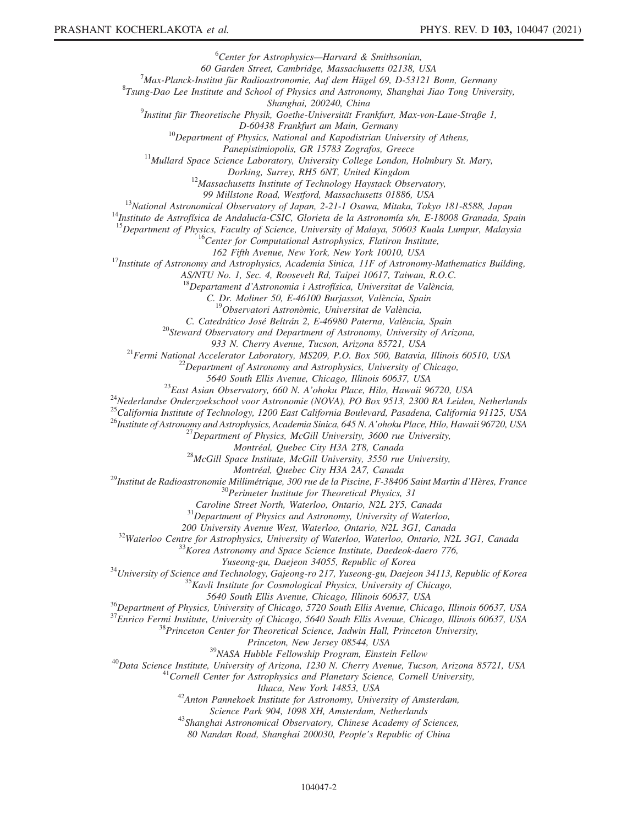${}^{6}$ Center for Astrophysics—Harvard & Smithsonian,

60 Garden Street, Cambridge, Massachusetts 02138, USA <sup>7</sup>

<sup>7</sup>Max-Planck-Institut für Radioastronomie, Auf dem Hügel 69, D-53121 Bonn, Germany

 ${}^{8}$ Tsung-Dao Lee Institute and School of Physics and Astronomy, Shanghai Jiao Tong University,

Shanghai, 200240, China<br><sup>9</sup>Institut für Theoretische Physik, Goethe-Universität Frankfurt, Max-von-Laue-Straße 1,

D-60438 Frankfurt am Main, Germany<br><sup>10</sup>Department of Physics, National and Kapodistrian University of Athens,

Panepistimiopolis, GR 15783 Zografos, Greece<br><sup>11</sup>Mullard Space Science Laboratory, University College London, Holmbury St. Mary,<br>Dorking, Surrey, RH5 6NT, United Kingdom

 $^{12}$ Massachusetts Institute of Technology Haystack Observatory,

99 Millstone Road, Westford, Massachusetts 01886, USA<br><sup>13</sup>National Astronomical Observatory of Japan, 2-21-1 Osawa, Mitaka, Tokyo 181-8588, Japan<sup>14</sup>Instituto de Astrofísica de Andalucía-CSIC, Glorieta de la Astronomía s/n

<sup>15</sup>Department of Physics, Faculty of Science, University of Malaya, 50603 Kuala Lumpur, Malaysia  $^{16}$ Center for Computational Astrophysics, Flatiron Institute,

162 Fifth Avenue, New York, New York 10010, USA<br><sup>17</sup>Institute of Astronomy and Astrophysics, Academia Sinica, 11F of Astronomy-Mathematics Building,

AS/NTU No. 1, Sec. 4, Roosevelt Rd, Taipei 10617, Taiwan, R.O.C.

<sup>18</sup>Departament d'Astronomia i Astrofísica, Universitat de València, C. Dr. Moliner 50, E-46100 Burjassot, València, Spain

<sup>19</sup>Observatori Astronòmic, Universitat de València,<br>C. Catedrático José Beltrán 2, E-46980 Paterna, València, Spain

 $^{20}$ Steward Observatory and Department of Astronomy, University of Arizona,

933 N. Cherry Avenue, Tucson, Arizona 85721, USA<br><sup>21</sup>Fermi National Accelerator Laboratory, MS209, P.O. Box 500, Batavia, Illinois 60510, USA<br><sup>22</sup>Department of Astronomy and Astrophysics, University of Chicago, 5640 South

<sup>23</sup> East Asian Observatory, 660 N. A'ohoku Place, Hilo, Hawaii 96720, USA <sup>24</sup>Nederlandse Onderzoekschool voor Astronomie (NOVA), PO Box 9513, 2300 RA Leiden, Netherlands

<sup>25</sup>California Institute of Technology, 1200 East California Boulevard, Pasadena, California 91125, USA

<sup>26</sup>Institute of Astronomy and Astrophysics, Academia Sinica, 645 N. A'ohoku Place, Hilo, Hawaii 96720, USA<br><sup>27</sup>Department of Physics, McGill University, 3600 rue University,<br>Montréal, Quebec City H3A 2T8, Canada

 $^{28}McGill$  Space Institute, McGill University, 3550 rue University,

Montréal, Quebec City H3A 2A7, Canada<br><sup>29</sup>Institut de Radioastronomie Millimétrique, 300 rue de la Piscine, F-38406 Saint Martin d'Hères, France<br><sup>30</sup>Perimeter Institute for Theoretical Physics, 31<br>Caroline Street North, Wa

 $^{31}$ Department of Physics and Astronomy, University of Waterloo, 200 University Avenue West, Waterloo, Ontario, N2L 3G1, Canada

<sup>32</sup>Waterloo Centre for Astrophysics, University of Waterloo, Waterloo, Ontario, N2L 3G1, Canada <sup>33</sup>Korea Astronomy and Space Science Institute, Daedeok-daero 776,<br><sup>33</sup>Korea Astronomy and Space Science Institute, Daedeok

<sup>34</sup> University of Science and Technology, Gajeong-ro 217, Yuseong-gu, Daejeon 34113, Republic of Korea <sup>35</sup>Kavli Institute for Cosmological Physics, University of Chicago,

5640 South Ellis Avenue, Chicago, Illinois 60637, USA<br><sup>36</sup>Department of Physics, University of Chicago, 5720 South Ellis Avenue, Chicago, Illinois 60637, USA

 $^{37}$ Enrico Fermi Institute, University of Chicago, 5640 South Ellis Avenue, Chicago, Illinois 60637, USA<br> $^{38}$ Princeton Center for Theoretical Science, Jadwin Hall, Princeton University,

Princeton, New Jersey 08544, USA<br><sup>39</sup>NASA Hubble Fellowship Program, Einstein Fellow<br><sup>40</sup>Data Science Institute, University of Arizona, 1230 N. Cherry Avenue, Tucson, Arizona 85721, USA<br><sup>41</sup>Cornell Center for Astrophysics

Ithaca, New York 14853, USA<br><sup>42</sup>Anton Pannekoek Institute for Astronomy, University of Amsterdam,<br>Science Park 904, 1098 XH, Amsterdam, Netherlands

<sup>43</sup> Shanghai Astronomical Observatory, Chinese Academy of Sciences,

80 Nandan Road, Shanghai 200030, People's Republic of China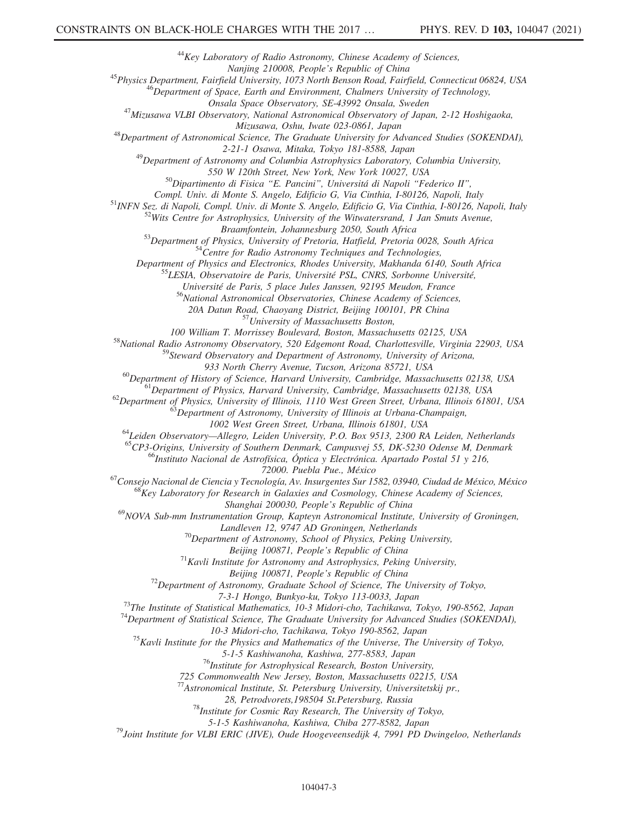$^{44}$ Key Laboratory of Radio Astronomy, Chinese Academy of Sciences,<br>Nanjing 210008, People's Republic of China

<sup>45</sup>Physics Department, Fairfield University, 1073 North Benson Road, Fairfield, Connecticut 06824, USA<br><sup>46</sup>Department of Space, Earth and Environment, Chalmers University of Technology,<br>Onsala Space Observatory, SE-43992

<sup>47</sup>Mizusawa VLBI Observatory, National Astronomical Observatory of Japan, 2-12 Hoshigaoka,

Mizusawa, Oshu, Iwate 023-0861, Japan<br><sup>48</sup>Department of Astronomical Science, The Graduate University for Advanced Studies (SOKENDAI),

<sup>49</sup>Department of Astronomy and Columbia Astrophysics Laboratory, Columbia University,

550 W 120th Street, New York, New York 10027, USA<br><sup>50</sup>Dipartimento di Fisica "E. Pancini", Universitá di Napoli "Federico II",

Compl. Univ. di Monte S. Angelo, Edificio G, Via Cinthia, I-80126, Napoli, Italy<br><sup>51</sup>INFN Sez. di Napoli, Compl. Univ. di Monte S. Angelo, Edificio G, Via Cinthia, I-80126, Napoli, Italy<br><sup>52</sup>Wits Centre for Astrophysics, U

Braamfontein, Johannesburg 2050, South Africa<br><sup>53</sup>Department of Physics, University of Pretoria, Hatfield, Pretoria 0028, South Africa<br><sup>54</sup>Centre for Radio Astronomy Techniques and Technologies,<br>Department of Physics and E

<sup>55</sup>LESIA, Observatoire de Paris, Université PSL, CNRS, Sorbonne Université,

Université de Paris, 5 place Jules Janssen, 92195 Meudon, France  $56$ National Astronomical Observatories, Chinese Academy of Sciences,

20A Datun Road, Chaoyang District, Beijing 100101, PR China<br>
<sup>57</sup>University of Massachusetts Boston,

100 William T. Morrissey Boulevard, Boston, Massachusetts 02125, USA<br><sup>58</sup>National Radio Astronomy Observatory, 520 Edgemont Road, Charlottesville, Virginia 22903, USA

<sup>59</sup>Steward Observatory and Department of Astronomy, University of Arizona,

933 North Cherry Avenue, Tucson, Arizona 85721, USA<br><sup>60</sup>Department of History of Science, Harvard University, Cambridge, Massachusetts 02138, USA<br><sup>61</sup>Department of Physics, Harvard University, Cambridge, Massachusetts 0213

<sup>64</sup>Leiden Observatory—Allegro, Leiden University, P.O. Box 9513, 2300 RA Leiden, Netherlands<br><sup>65</sup>CP3-Origins, University of Southern Denmark, Campusvej 55, DK-5230 Odense M, Denmark<br><sup>66</sup>Instituto Nacional de Astrofísica,

<sup>67</sup>Consejo Nacional de Ciencia y Tecnología, Av. Insurgentes Sur 1582, 03940, Ciudad de México, México 68Key Laboratory for Research in Galaxies and Cosmology, Chinese Academy of Sciences,

Shanghai 200030, People's Republic of China

 $^{69}$ NOVA Sub-mm Instrumentation Group, Kapteyn Astronomical Institute, University of Groningen,

Landleven 12, 9747 AD Groningen, Netherlands<br><sup>70</sup>Department of Astronomy, School of Physics, Peking University,

Beijing 100871, People's Republic of China<br><sup>71</sup>Kavli Institute for Astronomy and Astrophysics, Peking University,

Beijing 100871, People's Republic of China<br><sup>72</sup>Department of Astronomy, Graduate School of Science, The University of Tokyo,

7-3-1 Hongo, Bunkyo-ku, Tokyo 113-0033, Japan<br><sup>73</sup>The Institute of Statistical Mathematics, 10-3 Midori-cho, Tachikawa, Tokyo, 190-8562, Japan<sup>74</sup>Department of Statistical Science, The Graduate University for Advanced Stud

10-3 Midori-cho, Tachikawa, Tokyo 190-8562, Japan<br><sup>75</sup>Kavli Institute for the Physics and Mathematics of the Universe, The University of Tokyo,<br>5-1-5 Kashiwanoha, Kashiwa, 277-8583, Japan

 $^{76}$ Institute for Astrophysical Research, Boston University,

725 Commonwealth New Jersey, Boston, Massachusetts 02215, USA

<sup>77</sup>Astronomical Institute, St. Petersburg University, Universitetskij pr.,

28, Petrodvorets,198504 St.Petersburg, Russia<br><sup>78</sup>Institute for Cosmic Ray Research, The University of Tokyo,

5-1-5 Kashiwanoha, Kashiwa, Chiba 277-8582, Japan<br><sup>79</sup>Joint Institute for VLBI ERIC (JIVE), Oude Hoogeveensedijk 4, 7991 PD Dwingeloo, Netherlands<sup>79</sup>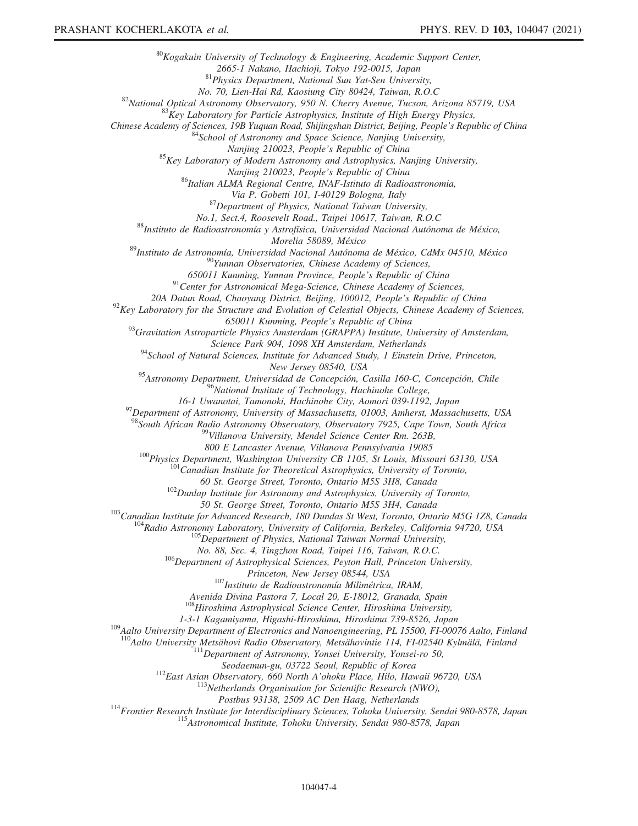$80K$ ogakuin University of Technology & Engineering, Academic Support Center, 2665-1 Nakano, Hachioji, Tokyo 192-0015, Japan<br><sup>81</sup>Physics Department, National Sun Yat-Sen University,<br>No. 70, Lien-Hai Rd, Kaosiung City 80424, Taiwan, R.O.C <sup>82</sup>National Optical Astronomy Observatory, 950 N. Cherry Avenue, Tucson, Arizona 85719, USA <sup>83</sup>Key Laboratory for Particle Astrophysics, Institute of High Energy Physics, Chinese Academy of Sciences, 19B Yuquan Road, Shijingshan District, Beijing, People's Republic of China<br><sup>84</sup>School of Astronomy and Space Science, Nanjing University, Nanjing 210023, People's Republic of China<br><sup>85</sup>Key Laboratory of Modern Astronomy and Astrophysics, Nanjing University, Nanjing 210023, People's Republic of China<br><sup>86</sup>Italian ALMA Regional Centre, INAF-Istituto di Radioastronomia, Via P. Gobetti 101, I-40129 Bologna, Italy<br><sup>87</sup>Department of Physics, National Taiwan University, No.1, Sect.4, Roosevelt Road., Taipei 10617, Taiwan, R.O.C<br><sup>88</sup>Instituto de Radioastronomía y Astrofísica, Universidad Nacional Autónoma de México, Morelia 58089, México<br><sup>89</sup>Instituto de Astronomía, Universidad Nacional Autónoma de México, CdMx 04510, México<br><sup>90</sup>Yunnan Observatories, Chinese Academy of Sciences,<br>650011 Kunming, Yunnan Province, People's Republic of Ch <sup>91</sup> Center for Astronomical Mega-Science, Chinese Academy of Sciences, 20A Datun Road, Chaoyang District, Beijing, 100012, People's Republic of China  $^{92}$ Key Laboratory for the Structure and Evolution of Celestial Objects, Chinese Academy of Sciences, 650011 Kunming, People's Republic of China<br><sup>93</sup>Gravitation Astroparticle Physics Amsterdam (GRAPPA) Institute, University of Amsterdam, Science Park 904, 1098 XH Amsterdam, Netherlands<br><sup>94</sup>School of Natural Sciences, Institute for Advanced Study, 1 Einstein Drive, Princeton, New Jersey 08540, USA <sup>95</sup>Astronomy Department, Universidad de Concepción, Casilla 160-C, Concepción, Chile <sup>96</sup>National Institute of Technology, Hachinohe College,<br>16-1 Uwanotai, Tamonoki, Hachinohe City, Aomori 039-1192, Japan  $197$  Department of Astronomy, University of Massachusetts, 01003, Amherst, Massachusetts, USA <sup>98</sup>South African Radio Astronomy Observatory, Observatory 7925, Cape Town, South Africa<br><sup>99</sup>Villanova University, Mendel Science Center Rm. 263B, 800 E Lancaster Avenue, Villanova Pennsylvania 19085<br><sup>100</sup>Physics Department, Washington University CB 1105, St Louis, Missouri 63130, USA<br><sup>101</sup>Canadian Institute for Theoretical Astrophysics, University of Toronto, 60 St. George Street, Toronto, Ontario M5S 3H8, Canada <sup>102</sup>Dunlap Institute for Astronomy and Astrophysics, University of Toronto, 50 St. George Street, Toronto, Ontario M5S 3H4, Canada<br><sup>103</sup>Canadian Institute for Advanced Research, 180 Dundas St West, Toronto, Ontario M5G 1Z8, Canada<br><sup>104</sup>Radio Astronomy Laboratory, University of California, Berkeley No. 88, Sec. 4, Tingzhou Road, Taipei 116, Taiwan, R.O.C.<br><sup>106</sup>Department of Astrophysical Sciences, Peyton Hall, Princeton University,<br>Princeton, New Jersey 08544, USA  $^{107}$ Instituto de Radioastronomía Milimétrica, IRAM, Avenida Divina Pastora 7, Local 20, E-18012, Granada, Spain  $108$ Hiroshima Astrophysical Science Center, Hiroshima University, 1-3-1 Kagamiyama, Higashi-Hiroshima, Hiroshima 739-8526, Japan<br><sup>109</sup>Aalto University Department of Electronics and Nanoengineering, PL 15500, FI-00076 Aalto, Finland <sup>110</sup>Aalto University Metsähovi Radio Observatory, Metsähovintie 114, FI-02540 Kylmälä, Finland <sup>111</sup>Department of Astronomy, Yonsei University, Yonsei-ro 50, Seodaemun-gu, 03722 Seoul, Republic of Korea<br><sup>112</sup>East Asian Observatory, 660 North A'ohoku Place, Hilo, Hawaii 96720, USA<br><sup>113</sup>Netherlands Organisation for Scientific Research (NWO), Postbus 93138, 2509 AC Den Haag, Netherlands<br><sup>114</sup>Frontier Research Institute for Interdisciplinary Sciences, Tohoku University, Sendai 980-8578, Japan<br><sup>115</sup>Astronomical Institute, Tohoku University, Sendai 980-8578, Japan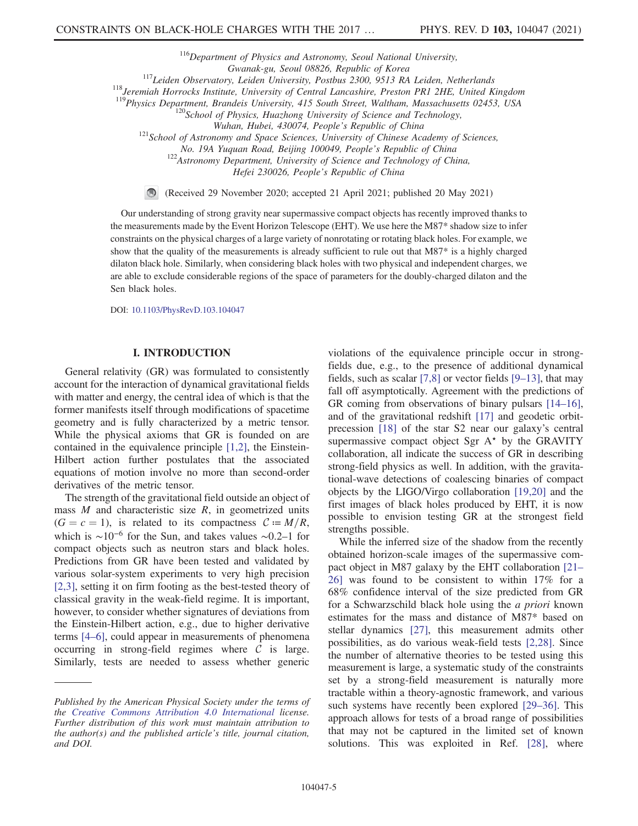$116$ Department of Physics and Astronomy, Seoul National University,

Gwanak-gu, Seoul 08826, Republic of Korea<br><sup>117</sup>Leiden Observatory, Leiden University, Postbus 2300, 9513 RA Leiden, Netherlands<br><sup>118</sup>Jeremiah Horrocks Institute, University of Central Lancashire, Preston PR1 2HE, United Ki

Wuhan, Hubei, 430074, People's Republic of China<br><sup>121</sup>School of Astronomy and Space Sciences, University of Chinese Academy of Sciences,

No. 19A Yuquan Road, Beijing 100049, People's Republic of China<br><sup>122</sup>Astronomy Department, University of Science and Technology of China,

Hefei 230026, People's Republic of China

(Received 29 November 2020; accepted 21 April 2021; published 20 May 2021)

Our understanding of strong gravity near supermassive compact objects has recently improved thanks to the measurements made by the Event Horizon Telescope (EHT). We use here the M87\* shadow size to infer constraints on the physical charges of a large variety of nonrotating or rotating black holes. For example, we show that the quality of the measurements is already sufficient to rule out that M87\* is a highly charged dilaton black hole. Similarly, when considering black holes with two physical and independent charges, we are able to exclude considerable regions of the space of parameters for the doubly-charged dilaton and the Sen black holes.

DOI: [10.1103/PhysRevD.103.104047](https://doi.org/10.1103/PhysRevD.103.104047)

#### **I. INTRODUCTION** I. INTRODUCTION

General relativity (GR) was formulated to consistently account for the interaction of dynamical gravitational fields with matter and energy, the central idea of which is that the former manifests itself through modifications of spacetime geometry and is fully characterized by a metric tensor. While the physical axioms that GR is founded on are contained in the equivalence principle [\[1,2\]](#page-14-0), the Einstein-Hilbert action further postulates that the associated equations of motion involve no more than second-order derivatives of the metric tensor.

The strength of the gravitational field outside an object of mass  $M$  and characteristic size  $R$ , in geometrized units  $(G = c = 1)$ , is related to its compactness  $C := M/R$ , which is  $\sim 10^{-6}$  for the Sun, and takes values ~0.2–1 for compact objects such as neutron stars and black holes. Predictions from GR have been tested and validated by various solar-system experiments to very high precision [\[2,3\],](#page-14-1) setting it on firm footing as the best-tested theory of classical gravity in the weak-field regime. It is important, however, to consider whether signatures of deviations from the Einstein-Hilbert action, e.g., due to higher derivative terms [4–[6\],](#page-14-2) could appear in measurements of phenomena occurring in strong-field regimes where  $\mathcal C$  is large. Similarly, tests are needed to assess whether generic violations of the equivalence principle occur in strongfields due, e.g., to the presence of additional dynamical fields, such as scalar [\[7,8\]](#page-14-3) or vector fields [9–[13\],](#page-14-4) that may fall off asymptotically. Agreement with the predictions of GR coming from observations of binary pulsars [\[14](#page-14-5)–16], and of the gravitational redshift [\[17\]](#page-14-6) and geodetic orbitprecession [\[18\]](#page-14-7) of the star S2 near our galaxy's central supermassive compact object Sgr  $A^*$  by the GRAVITY collaboration, all indicate the success of GR in describing strong-field physics as well. In addition, with the gravitational-wave detections of coalescing binaries of compact objects by the LIGO/Virgo collaboration [\[19,20\]](#page-15-0) and the first images of black holes produced by EHT, it is now possible to envision testing GR at the strongest field strengths possible.

While the inferred size of the shadow from the recently obtained horizon-scale images of the supermassive compact object in M87 galaxy by the EHT collaboration [\[21](#page-15-1)– [26\]](#page-15-1) was found to be consistent to within 17% for a 68% confidence interval of the size predicted from GR for a Schwarzschild black hole using the a priori known estimates for the mass and distance of M87\* based on stellar dynamics [\[27\],](#page-15-2) this measurement admits other possibilities, as do various weak-field tests [\[2,28\]](#page-14-1). Since the number of alternative theories to be tested using this measurement is large, a systematic study of the constraints set by a strong-field measurement is naturally more tractable within a theory-agnostic framework, and various such systems have recently been explored [29–[36\].](#page-15-3) This approach allows for tests of a broad range of possibilities that may not be captured in the limited set of known solutions. This was exploited in Ref. [\[28\]](#page-15-4), where

Published by the American Physical Society under the terms of the [Creative Commons Attribution 4.0 International](https://creativecommons.org/licenses/by/4.0/) license. Further distribution of this work must maintain attribution to the author(s) and the published article's title, journal citation, and DOI.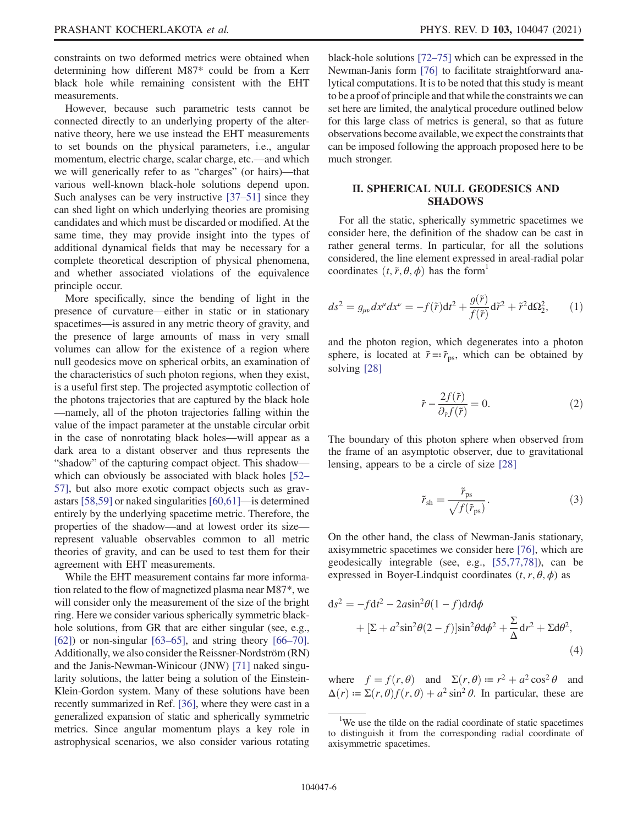constraints on two deformed metrics were obtained when determining how different M87\* could be from a Kerr black hole while remaining consistent with the EHT measurements.

However, because such parametric tests cannot be connected directly to an underlying property of the alternative theory, here we use instead the EHT measurements to set bounds on the physical parameters, i.e., angular momentum, electric charge, scalar charge, etc.—and which we will generically refer to as "charges" (or hairs)—that various well-known black-hole solutions depend upon. Such analyses can be very instructive [\[37](#page-15-5)–51] since they can shed light on which underlying theories are promising candidates and which must be discarded or modified. At the same time, they may provide insight into the types of additional dynamical fields that may be necessary for a complete theoretical description of physical phenomena, and whether associated violations of the equivalence principle occur.

More specifically, since the bending of light in the presence of curvature—either in static or in stationary spacetimes—is assured in any metric theory of gravity, and the presence of large amounts of mass in very small volumes can allow for the existence of a region where null geodesics move on spherical orbits, an examination of the characteristics of such photon regions, when they exist, is a useful first step. The projected asymptotic collection of the photons trajectories that are captured by the black hole —namely, all of the photon trajectories falling within the value of the impact parameter at the unstable circular orbit in the case of nonrotating black holes—will appear as a dark area to a distant observer and thus represents the "shadow" of the capturing compact object. This shadow which can obviously be associated with black holes [\[52](#page-16-0)– [57\],](#page-16-0) but also more exotic compact objects such as gravastars [\[58,59\]](#page-16-1) or naked singularities [\[60,61\]](#page-16-2)—is determined entirely by the underlying spacetime metric. Therefore, the properties of the shadow—and at lowest order its size represent valuable observables common to all metric theories of gravity, and can be used to test them for their agreement with EHT measurements.

While the EHT measurement contains far more information related to the flow of magnetized plasma near M87\*, we will consider only the measurement of the size of the bright ring. Here we consider various spherically symmetric blackhole solutions, from GR that are either singular (see, e.g., [\[62\]](#page-16-3)) or non-singular  $[63–65]$  $[63–65]$ , and string theory  $[66–70]$  $[66–70]$ . Additionally, we also consider the Reissner-Nordström (RN) and the Janis-Newman-Winicour (JNW) [\[71\]](#page-16-6) naked singularity solutions, the latter being a solution of the Einstein-Klein-Gordon system. Many of these solutions have been recently summarized in Ref. [\[36\],](#page-15-6) where they were cast in a generalized expansion of static and spherically symmetric metrics. Since angular momentum plays a key role in astrophysical scenarios, we also consider various rotating black-hole solutions [72–[75\]](#page-16-7) which can be expressed in the Newman-Janis form [\[76\]](#page-16-8) to facilitate straightforward analytical computations. It is to be noted that this study is meant to be a proof of principle and that while the constraints we can set here are limited, the analytical procedure outlined below for this large class of metrics is general, so that as future observations become available, we expect the constraints that can be imposed following the approach proposed here to be much stronger.

### II. SPHERICAL NULL GEODESICS AND SHADOWS

<span id="page-5-0"></span>For all the static, spherically symmetric spacetimes we consider here, the definition of the shadow can be cast in rather general terms. In particular, for all the solutions considered, the line element expressed in areal-radial polar coordinates  $(t, \tilde{r}, \theta, \phi)$  has the form<sup>1</sup>

$$
ds^2 = g_{\mu\nu} dx^{\mu} dx^{\nu} = -f(\tilde{r}) dt^2 + \frac{g(\tilde{r})}{f(\tilde{r})} d\tilde{r}^2 + \tilde{r}^2 d\Omega_2^2, \qquad (1)
$$

and the photon region, which degenerates into a photon sphere, is located at  $\tilde{r} = \tilde{r}_{ps}$ , which can be obtained by solving [\[28\]](#page-15-4)

$$
\tilde{r} - \frac{2f(\tilde{r})}{\partial_{\tilde{r}}f(\tilde{r})} = 0.
$$
\n(2)

The boundary of this photon sphere when observed from the frame of an asymptotic observer, due to gravitational lensing, appears to be a circle of size [\[28\]](#page-15-4)

$$
\tilde{r}_{\rm sh} = \frac{\tilde{r}_{\rm ps}}{\sqrt{f(\tilde{r}_{\rm ps})}}.\tag{3}
$$

<span id="page-5-1"></span>On the other hand, the class of Newman-Janis stationary, axisymmetric spacetimes we consider here [\[76\],](#page-16-8) which are geodesically integrable (see, e.g., [\[55,77,78\]](#page-16-9)), can be expressed in Boyer-Lindquist coordinates  $(t, r, \theta, \phi)$  as

$$
ds^{2} = -fdt^{2} - 2a\sin^{2}\theta(1 - f)dt d\phi
$$

$$
+ [\Sigma + a^{2}\sin^{2}\theta(2 - f)]\sin^{2}\theta d\phi^{2} + \frac{\Sigma}{\Delta} dr^{2} + \Sigma d\theta^{2},
$$
(4)

where  $f = f(r, \theta)$  and  $\Sigma(r, \theta) := r^2 + a^2 \cos^2 \theta$  and  $\Delta(r) = \Sigma(r, \theta) f(r, \theta) + a^2 \sin^2 \theta$ . In particular, these are

<sup>&</sup>lt;sup>1</sup>We use the tilde on the radial coordinate of static spacetimes to distinguish it from the corresponding radial coordinate of axisymmetric spacetimes.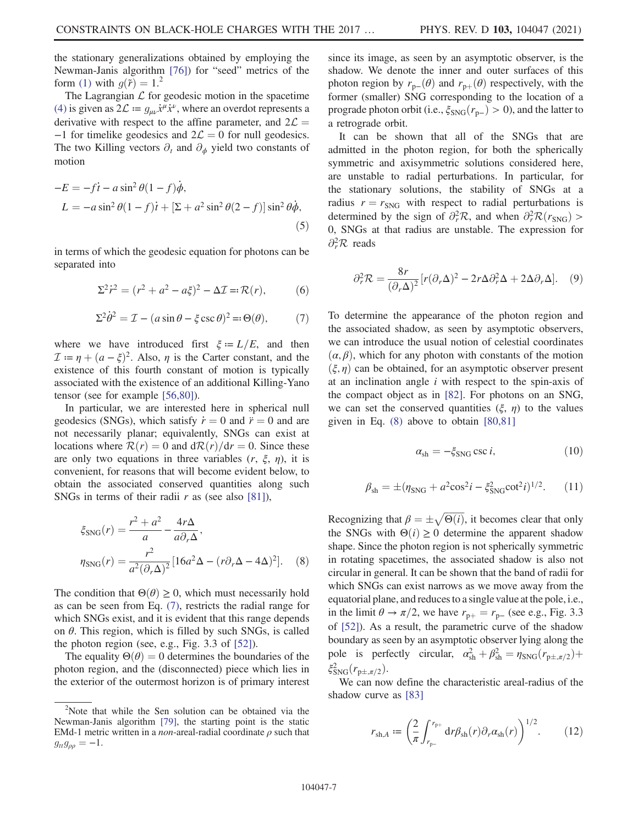the stationary generalizations obtained by employing the Newman-Janis algorithm [\[76\]\)](#page-16-8) for "seed" metrics of the form [\(1\)](#page-5-0) with  $g(\tilde{r}) = 1$ .<sup>2</sup>

The Lagrangian  $\mathcal L$  for geodesic motion in the spacetime [\(4\)](#page-5-1) is given as  $2\mathcal{L} := g_{\mu\nu} \dot{x}^\mu \dot{x}^\nu$ , where an overdot represents a derivative with respect to the affine parameter, and  $2\mathcal{L} =$  $-1$  for timelike geodesics and  $2\mathcal{L} = 0$  for null geodesics. The two Killing vectors  $\partial_t$  and  $\partial_{\phi}$  yield two constants of motion

$$
-E = -f\dot{t} - a\sin^2\theta(1-f)\dot{\phi},
$$
  
\n
$$
L = -a\sin^2\theta(1-f)\dot{t} + [\Sigma + a^2\sin^2\theta(2-f)]\sin^2\theta\dot{\phi},
$$
\n(5)

in terms of which the geodesic equation for photons can be separated into

$$
\Sigma^{2} \dot{r}^{2} = (r^{2} + a^{2} - a\xi)^{2} - \Delta \mathcal{I} = \mathcal{R}(r),
$$
 (6)

<span id="page-6-0"></span>
$$
\Sigma^2 \dot{\theta}^2 = \mathcal{I} - (a \sin \theta - \xi \csc \theta)^2 = \Theta(\theta),\tag{7}
$$

where we have introduced first  $\xi = L/E$ , and then  $\mathcal{I} := \eta + (a - \xi)^2$ . Also,  $\eta$  is the Carter constant, and the existence of this fourth constant of motion is typically associated with the existence of an additional Killing-Yano tensor (see for example [\[56,80\]](#page-16-10)).

In particular, we are interested here in spherical null geodesics (SNGs), which satisfy  $\dot{r} = 0$  and  $\ddot{r} = 0$  and are not necessarily planar; equivalently, SNGs can exist at locations where  $\mathcal{R}(r) = 0$  and  $\frac{d\mathcal{R}(r)}{dr} = 0$ . Since these are only two equations in three variables  $(r, \xi, \eta)$ , it is convenient, for reasons that will become evident below, to obtain the associated conserved quantities along such SNGs in terms of their radii  $r$  as (see also [\[81\]\)](#page-16-11),

<span id="page-6-1"></span>
$$
\xi_{\text{SNG}}(r) = \frac{r^2 + a^2}{a} - \frac{4r\Delta}{a\partial_r\Delta},
$$

$$
\eta_{\text{SNG}}(r) = \frac{r^2}{a^2(\partial_r\Delta)^2} [16a^2\Delta - (r\partial_r\Delta - 4\Delta)^2].
$$
 (8)

The condition that  $\Theta(\theta) \geq 0$ , which must necessarily hold as can be seen from Eq. [\(7\)](#page-6-0), restricts the radial range for which SNGs exist, and it is evident that this range depends on  $\theta$ . This region, which is filled by such SNGs, is called the photon region (see, e.g., Fig. 3.3 of [\[52\]\)](#page-16-0).

The equality  $\Theta(\theta) = 0$  determines the boundaries of the photon region, and the (disconnected) piece which lies in the exterior of the outermost horizon is of primary interest since its image, as seen by an asymptotic observer, is the shadow. We denote the inner and outer surfaces of this photon region by  $r_{p-}(\theta)$  and  $r_{p+}(\theta)$  respectively, with the former (smaller) SNG corresponding to the location of a prograde photon orbit (i.e.,  $\xi_{\text{SNG}}(r_{\text{p}-}) > 0$ ), and the latter to a retrograde orbit.

It can be shown that all of the SNGs that are admitted in the photon region, for both the spherically symmetric and axisymmetric solutions considered here, are unstable to radial perturbations. In particular, for the stationary solutions, the stability of SNGs at a radius  $r = r_{SNG}$  with respect to radial perturbations is determined by the sign of  $\partial_r^2 \mathcal{R}$ , and when  $\partial_r^2 \mathcal{R}(r_{\text{SNG}})$  > 0, SNGs at that radius are unstable. The expression for  $\partial_r^2 \mathcal{R}$  reads

$$
\partial_r^2 \mathcal{R} = \frac{8r}{(\partial_r \Delta)^2} [r(\partial_r \Delta)^2 - 2r \Delta \partial_r^2 \Delta + 2 \Delta \partial_r \Delta]. \quad (9)
$$

To determine the appearance of the photon region and the associated shadow, as seen by asymptotic observers, we can introduce the usual notion of celestial coordinates  $(\alpha, \beta)$ , which for any photon with constants of the motion  $(\xi, \eta)$  can be obtained, for an asymptotic observer present at an inclination angle  $i$  with respect to the spin-axis of the compact object as in [\[82\]](#page-16-12). For photons on an SNG, we can set the conserved quantities  $(\xi, \eta)$  to the values given in Eq. [\(8\)](#page-6-1) above to obtain [\[80,81\]](#page-16-13)

$$
\alpha_{\rm sh} = -\xi_{\rm SNG} \csc i,\tag{10}
$$

$$
\beta_{\rm sh} = \pm (\eta_{\rm SNG} + a^2 \cos^2 i - \xi_{\rm SNG}^2 \cot^2 i)^{1/2}.
$$
 (11)

Recognizing that  $\beta = \pm \sqrt{\Theta(i)}$ , it becomes clear that only the SNGs with  $\Theta(i) \geq 0$  determine the apparent shadow shape. Since the photon region is not spherically symmetric in rotating spacetimes, the associated shadow is also not circular in general. It can be shown that the band of radii for which SNGs can exist narrows as we move away from the equatorial plane, and reduces to a single value at the pole, i.e., in the limit  $\theta \to \pi/2$ , we have  $r_{p+} = r_{p-}$  (see e.g., Fig. 3.3) of [\[52\]\)](#page-16-0). As a result, the parametric curve of the shadow boundary as seen by an asymptotic observer lying along the pole is perfectly circular,  $\alpha_{\rm sh}^2 + \beta_{\rm sh}^2 = \eta_{\rm SNG}(r_{p\pm,\pi/2}) +$  $\xi_{\text{SNG}}^2(r_{p\pm,\pi/2}).$ 

We can now define the characteristic areal-radius of the shadow curve as [\[83\]](#page-16-14)

$$
r_{\text{sh},A} := \left(\frac{2}{\pi} \int_{r_{\text{p}-}}^{r_{\text{p}+}} dr \beta_{\text{sh}}(r) \partial_r \alpha_{\text{sh}}(r)\right)^{1/2}.
$$
 (12)

<sup>&</sup>lt;sup>2</sup>Note that while the Sen solution can be obtained via the Newman-Janis algorithm [\[79\],](#page-16-15) the starting point is the static EMd-1 metric written in a *non*-areal-radial coordinate  $\rho$  such that  $g_{tt}g_{\rho\rho} = -1.$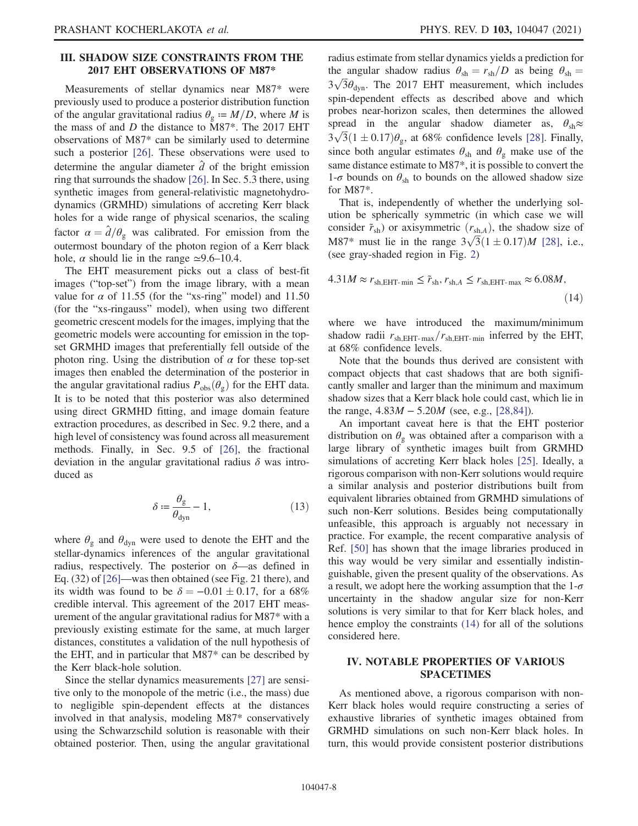### III. SHADOW SIZE CONSTRAINTS FROM THE 2017 EHT OBSERVATIONS OF M87\* 2017 EHT OBSERVATIONS OF M87\*

Measurements of stellar dynamics near M87\* were previously used to produce a posterior distribution function of the angular gravitational radius  $\theta_{g} := M/D$ , where M is the mass of and D the distance to M87\*. The 2017 EHT observations of M87\* can be similarly used to determine such a posterior [\[26\].](#page-15-7) These observations were used to determine the angular diameter  $\hat{d}$  of the bright emission ring that surrounds the shadow [\[26\]](#page-15-7). In Sec. 5.3 there, using synthetic images from general-relativistic magnetohydrodynamics (GRMHD) simulations of accreting Kerr black holes for a wide range of physical scenarios, the scaling factor  $\alpha = \hat{d}/\theta_{\rm g}$  was calibrated. For emission from the outermost boundary of the photon region of a Kerr black hole,  $\alpha$  should lie in the range  $\simeq 9.6-10.4$ .

The EHT measurement picks out a class of best-fit images ("top-set") from the image library, with a mean value for  $\alpha$  of 11.55 (for the "xs-ring" model) and 11.50 (for the "xs-ringauss" model), when using two different geometric crescent models for the images, implying that the geometric models were accounting for emission in the topset GRMHD images that preferentially fell outside of the photon ring. Using the distribution of  $\alpha$  for these top-set images then enabled the determination of the posterior in the angular gravitational radius  $P_{obs}(\theta_g)$  for the EHT data. It is to be noted that this posterior was also determined using direct GRMHD fitting, and image domain feature extraction procedures, as described in Sec. 9.2 there, and a high level of consistency was found across all measurement methods. Finally, in Sec. 9.5 of [\[26\]](#page-15-7), the fractional deviation in the angular gravitational radius  $\delta$  was introduced as

$$
\delta := \frac{\theta_{\rm g}}{\theta_{\rm dyn}} - 1,\tag{13}
$$

where  $\theta_{\rm g}$  and  $\theta_{\rm dyn}$  were used to denote the EHT and the stellar-dynamics inferences of the angular gravitational radius, respectively. The posterior on  $\delta$ —as defined in Eq. (32) of [\[26\]](#page-15-7)—was then obtained (see Fig. 21 there), and its width was found to be  $\delta = -0.01 \pm 0.17$ , for a 68% credible interval. This agreement of the 2017 EHT measurement of the angular gravitational radius for M87\* with a previously existing estimate for the same, at much larger distances, constitutes a validation of the null hypothesis of the EHT, and in particular that M87\* can be described by the Kerr black-hole solution.

Since the stellar dynamics measurements [\[27\]](#page-15-2) are sensitive only to the monopole of the metric (i.e., the mass) due to negligible spin-dependent effects at the distances involved in that analysis, modeling M87\* conservatively using the Schwarzschild solution is reasonable with their obtained posterior. Then, using the angular gravitational radius estimate from stellar dynamics yields a prediction for the angular shadow radius  $\theta_{sh} = r_{sh}/D$  as being  $\theta_{sh} =$  $3\sqrt{3}\theta_{\text{dyn}}$ . The 2017 EHT measurement, which includes spin-dependent effects as described above and which probes near-horizon scales, then determines the allowed spread in the angular shadow diameter as,  $\theta_{sh} \approx$  $3\sqrt{3}(1 \pm 0.17)\theta_{\rm g}$ , at 68% confidence levels [\[28\]](#page-15-4). Finally, since both angular estimates  $\theta_{sh}$  and  $\theta_{g}$  make use of the same distance estimate to M87\*, it is possible to convert the 1- $\sigma$  bounds on  $\theta_{\rm sh}$  to bounds on the allowed shadow size for M87\*.

That is, independently of whether the underlying solution be spherically symmetric (in which case we will consider  $\tilde{r}_{sh}$ ) or axisymmetric  $(r_{sh,A})$ , the shadow size of M87\* must lie in the range  $3\sqrt{3}(1 \pm 0.17)M$  [\[28\]](#page-15-4), i.e., (see gray-shaded region in Fig. [2\)](#page-10-0)

<span id="page-7-0"></span>
$$
4.31M \approx r_{\text{sh,EHT-min}} \leq \tilde{r}_{\text{sh}}, r_{\text{sh},A} \leq r_{\text{sh,EHT-max}} \approx 6.08M,
$$
\n
$$
(14)
$$

where we have introduced the maximum/minimum shadow radii  $r_{\text{sh,EHT-max}}/r_{\text{sh,EHT-min}}$  inferred by the EHT, at 68% confidence levels.

Note that the bounds thus derived are consistent with compact objects that cast shadows that are both significantly smaller and larger than the minimum and maximum shadow sizes that a Kerr black hole could cast, which lie in the range,  $4.83M - 5.20M$  (see, e.g., [\[28,84\]](#page-15-4)).

An important caveat here is that the EHT posterior distribution on  $\theta_{\rm g}$  was obtained after a comparison with a large library of synthetic images built from GRMHD simulations of accreting Kerr black holes [\[25\]](#page-15-8). Ideally, a rigorous comparison with non-Kerr solutions would require a similar analysis and posterior distributions built from equivalent libraries obtained from GRMHD simulations of such non-Kerr solutions. Besides being computationally unfeasible, this approach is arguably not necessary in practice. For example, the recent comparative analysis of Ref. [\[50\]](#page-15-9) has shown that the image libraries produced in this way would be very similar and essentially indistinguishable, given the present quality of the observations. As a result, we adopt here the working assumption that the  $1-\sigma$ uncertainty in the shadow angular size for non-Kerr solutions is very similar to that for Kerr black holes, and hence employ the constraints [\(14\)](#page-7-0) for all of the solutions considered here.

### IV. NOTABLE PROPERTIES OF VARIOUS SPACETIMES

As mentioned above, a rigorous comparison with non-Kerr black holes would require constructing a series of exhaustive libraries of synthetic images obtained from GRMHD simulations on such non-Kerr black holes. In turn, this would provide consistent posterior distributions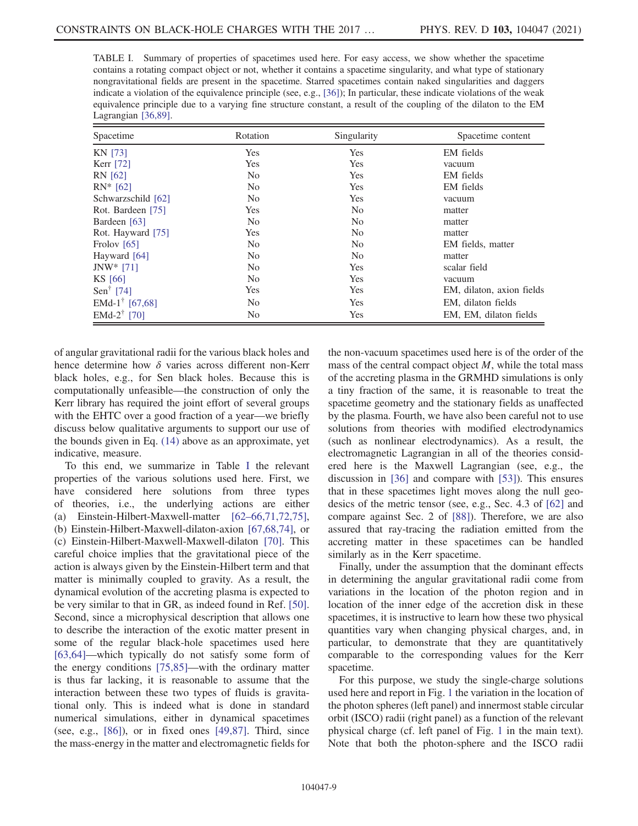<span id="page-8-0"></span>TABLE I. Summary of properties of spacetimes used here. For easy access, we show whether the spacetime contains a rotating compact object or not, whether it contains a spacetime singularity, and what type of stationary nongravitational fields are present in the spacetime. Starred spacetimes contain naked singularities and daggers indicate a violation of the equivalence principle (see, e.g., [\[36\]\)](#page-15-6); In particular, these indicate violations of the weak equivalence principle due to a varying fine structure constant, a result of the coupling of the dilaton to the EM Lagrangian [\[36,89\]](#page-15-6).

| Spacetime                                  | Rotation       | Singularity    | Spacetime content         |
|--------------------------------------------|----------------|----------------|---------------------------|
| <b>KN [73]</b>                             | Yes            | Yes            | EM fields                 |
| Kerr [72]                                  | Yes            | Yes            | vacuum                    |
| RN [62]                                    | N <sub>o</sub> | Yes            | EM fields                 |
| $RN^*[62]$                                 | N <sub>0</sub> | Yes            | EM fields                 |
| Schwarzschild [62]                         | N <sub>0</sub> | Yes            | vacuum                    |
| Rot. Bardeen [75]                          | Yes            | N <sub>0</sub> | matter                    |
| Bardeen [63]                               | N <sub>0</sub> | N <sub>0</sub> | matter                    |
| Rot. Hayward [75]                          | Yes            | N <sub>0</sub> | matter                    |
| Frolov $[65]$                              | N <sub>0</sub> | No             | EM fields, matter         |
| Hayward [64]                               | N <sub>0</sub> | N <sub>0</sub> | matter                    |
| $JNW* [71]$                                | N <sub>0</sub> | Yes            | scalar field              |
| KS [66]                                    | N <sub>0</sub> | Yes            | vacuum                    |
| Sen <sup>†</sup> [74]                      | Yes            | Yes            | EM, dilaton, axion fields |
| EMd-1 <sup>†</sup> [67,68]                 | N <sub>o</sub> | Yes            | EM, dilaton fields        |
| EMd-2 <sup><math>\dagger</math></sup> [70] | N <sub>0</sub> | Yes            | EM, EM, dilaton fields    |

of angular gravitational radii for the various black holes and hence determine how  $\delta$  varies across different non-Kerr black holes, e.g., for Sen black holes. Because this is computationally unfeasible—the construction of only the Kerr library has required the joint effort of several groups with the EHTC over a good fraction of a year—we briefly discuss below qualitative arguments to support our use of the bounds given in Eq. [\(14\)](#page-7-0) above as an approximate, yet indicative, measure.

To this end, we summarize in Table [I](#page-8-0) the relevant properties of the various solutions used here. First, we have considered here solutions from three types of theories, i.e., the underlying actions are either (a) Einstein-Hilbert-Maxwell-matter [62–[66,71,72,75\]](#page-16-3), (b) Einstein-Hilbert-Maxwell-dilaton-axion [\[67,68,74\],](#page-16-16) or (c) Einstein-Hilbert-Maxwell-Maxwell-dilaton [\[70\].](#page-16-17) This careful choice implies that the gravitational piece of the action is always given by the Einstein-Hilbert term and that matter is minimally coupled to gravity. As a result, the dynamical evolution of the accreting plasma is expected to be very similar to that in GR, as indeed found in Ref. [\[50\]](#page-15-9). Second, since a microphysical description that allows one to describe the interaction of the exotic matter present in some of the regular black-hole spacetimes used here [\[63,64\]](#page-16-4)—which typically do not satisfy some form of the energy conditions [\[75,85\]](#page-16-18)—with the ordinary matter is thus far lacking, it is reasonable to assume that the interaction between these two types of fluids is gravitational only. This is indeed what is done in standard numerical simulations, either in dynamical spacetimes (see, e.g., [\[86\]\)](#page-16-19), or in fixed ones [\[49,87\].](#page-15-10) Third, since the mass-energy in the matter and electromagnetic fields for

the non-vacuum spacetimes used here is of the order of the mass of the central compact object  $M$ , while the total mass of the accreting plasma in the GRMHD simulations is only a tiny fraction of the same, it is reasonable to treat the spacetime geometry and the stationary fields as unaffected by the plasma. Fourth, we have also been careful not to use solutions from theories with modified electrodynamics (such as nonlinear electrodynamics). As a result, the electromagnetic Lagrangian in all of the theories considered here is the Maxwell Lagrangian (see, e.g., the discussion in [\[36\]](#page-15-6) and compare with [\[53\]\)](#page-16-20). This ensures that in these spacetimes light moves along the null geodesics of the metric tensor (see, e.g., Sec. 4.3 of [\[62\]](#page-16-3) and compare against Sec. 2 of [\[88\]](#page-16-21)). Therefore, we are also assured that ray-tracing the radiation emitted from the accreting matter in these spacetimes can be handled similarly as in the Kerr spacetime.

Finally, under the assumption that the dominant effects in determining the angular gravitational radii come from variations in the location of the photon region and in location of the inner edge of the accretion disk in these spacetimes, it is instructive to learn how these two physical quantities vary when changing physical charges, and, in particular, to demonstrate that they are quantitatively comparable to the corresponding values for the Kerr spacetime.

For this purpose, we study the single-charge solutions used here and report in Fig. [1](#page-9-0) the variation in the location of the photon spheres (left panel) and innermost stable circular orbit (ISCO) radii (right panel) as a function of the relevant physical charge (cf. left panel of Fig. [1](#page-9-0) in the main text). Note that both the photon-sphere and the ISCO radii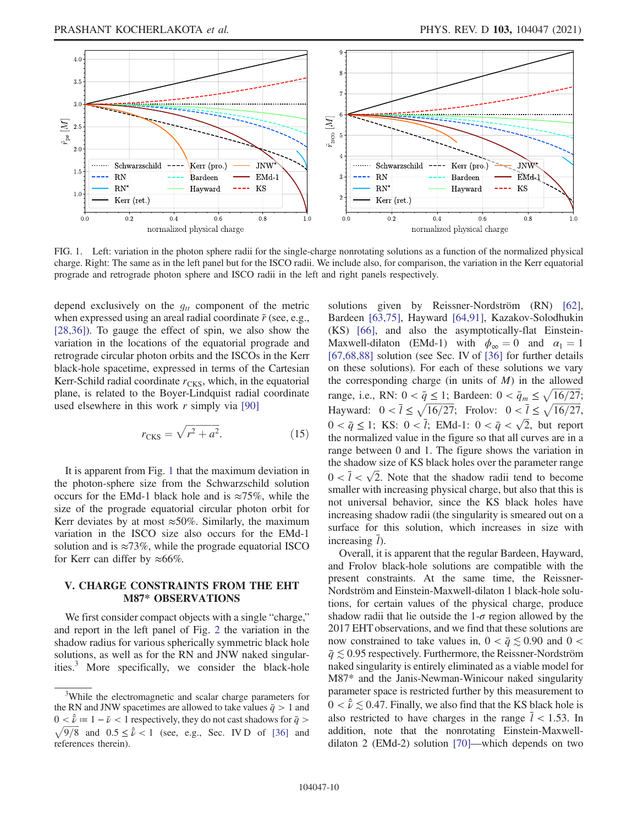<span id="page-9-0"></span>

FIG. 1. Left: variation in the photon sphere radii for the single-charge nonrotating solutions as a function of the normalized physical charge. Right: The same as in the left panel but for the ISCO radii. We include also, for comparison, the variation in the Kerr equatorial prograde and retrograde photon sphere and ISCO radii in the left and right panels respectively.

depend exclusively on the  $g_{tt}$  component of the metric when expressed using an areal radial coordinate  $\tilde{r}$  (see, e.g., [\[28,36\]](#page-15-4)). To gauge the effect of spin, we also show the variation in the locations of the equatorial prograde and retrograde circular photon orbits and the ISCOs in the Kerr black-hole spacetime, expressed in terms of the Cartesian Kerr-Schild radial coordinate  $r_{CKS}$ , which, in the equatorial plane, is related to the Boyer-Lindquist radial coordinate used elsewhere in this work  $r$  simply via [\[90\]](#page-16-26)

$$
r_{\text{CKS}} = \sqrt{r^2 + a^2}.\tag{15}
$$

It is apparent from Fig. [1](#page-9-0) that the maximum deviation in the photon-sphere size from the Schwarzschild solution occurs for the EMd-1 black hole and is  $\approx 75\%$ , while the size of the prograde equatorial circular photon orbit for Kerr deviates by at most  $\approx 50\%$ . Similarly, the maximum variation in the ISCO size also occurs for the EMd-1 solution and is  $\approx 73\%$ , while the prograde equatorial ISCO for Kerr can differ by  $\approx 66\%$ .

#### V. CHARGE CONSTRAINTS FROM THE EHT<br>M87\* OBSERVATIONS M87\* OBSERVATIONS

We first consider compact objects with a single "charge," and report in the left panel of Fig. [2](#page-10-0) the variation in the shadow radius for various spherically symmetric black hole solutions, as well as for the RN and JNW naked singularities.3 More specifically, we consider the black-hole solutions given by Reissner-Nordström (RN) [\[62\]](#page-16-3), Bardeen [\[63,75\]](#page-16-4), Hayward [\[64,91\]](#page-16-24), Kazakov-Solodhukin (KS) [\[66\],](#page-16-5) and also the asymptotically-flat Einstein-Maxwell-dilaton (EMd-1) with  $\phi_{\infty} = 0$  and  $\alpha_1 = 1$ [\[67,68,88\]](#page-16-16) solution (see Sec. IV of [\[36\]](#page-15-6) for further details on these solutions). For each of these solutions we vary the corresponding charge (in units of  $M$ ) in the allowed range, i.e., RN:  $0 < \bar{q} \leq 1$ ; Bardeen:  $0 < \bar{q}_m \leq \sqrt{\frac{16}{27}}$ ; Hayward:  $0 < \overline{l} \le \sqrt{16/27}$ ; Frolov:  $0 < \overline{l} \le \sqrt{16/27}$ ,  $0 < \bar{q} \le 1$ ; KS:  $0 < \bar{l}$ ; EMd-1:  $0 < \bar{q} < \sqrt{2}$ , but report the normalized value in the figure so that all curves are in a range between 0 and 1. The figure shows the variation in the shadow size of KS black holes over the parameter range  $0 < \bar{l} < \sqrt{2}$ . Note that the shadow radii tend to become smaller with increasing physical charge, but also that this is not universal behavior, since the KS black holes have increasing shadow radii (the singularity is smeared out on a surface for this solution, which increases in size with increasing  $\bar{l}$ ).

Overall, it is apparent that the regular Bardeen, Hayward, and Frolov black-hole solutions are compatible with the present constraints. At the same time, the Reissner-Nordström and Einstein-Maxwell-dilaton 1 black-hole solutions, for certain values of the physical charge, produce shadow radii that lie outside the  $1-\sigma$  region allowed by the 2017 EHT observations, and we find that these solutions are now constrained to take values in,  $0 < \bar{q} \leq 0.90$  and  $0 <$  $\bar{q} \lesssim 0.95$  respectively. Furthermore, the Reissner-Nordström naked singularity is entirely eliminated as a viable model for M87\* and the Janis-Newman-Winicour naked singularity parameter space is restricted further by this measurement to  $0 < \hat{v} \lesssim 0.47$ . Finally, we also find that the KS black hole is also restricted to have charges in the range  $\bar{l}$  < 1.53. In addition, note that the nonrotating Einstein-Maxwelldilaton 2 (EMd-2) solution [\[70\]](#page-16-17)—which depends on two

<sup>&</sup>lt;sup>3</sup>While the electromagnetic and scalar charge parameters for the RN and JNW spacetimes are allowed to take values  $\bar{q} > 1$  and  $0 < \hat{v} := 1 - \bar{\nu} < 1$  respectively, they do not cast shadows for  $\bar{q} > 0$  $\sqrt{9/8}$  and  $0.5 \le \hat{v} < 1$  (see, e.g., Sec. IV D of [\[36\]](#page-15-6) and references therein).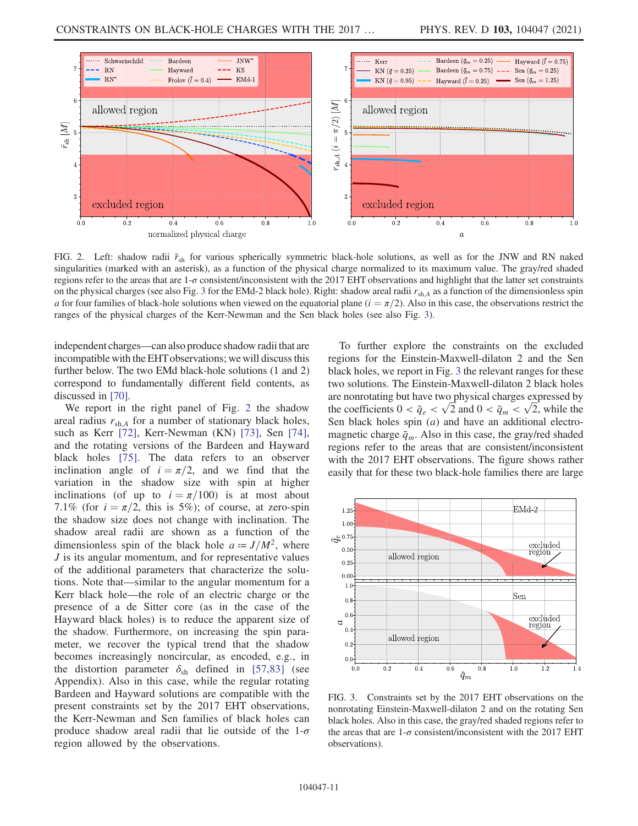<span id="page-10-0"></span>

FIG. 2. Left: shadow radii  $\tilde{r}_{sh}$  for various spherically symmetric black-hole solutions, as well as for the JNW and RN naked singularities (marked with an asterisk), as a function of the physical charge normalized to its maximum value. The gray/red shaded regions refer to the areas that are  $1-\sigma$  consistent/inconsistent with the 2017 EHT observations and highlight that the latter set constraints on the physical charges (see also Fig. [3](#page-10-1) for the EMd-2 black hole). Right: shadow areal radii  $r_{\rm sh,A}$  as a function of the dimensionless spin a for four families of black-hole solutions when viewed on the equatorial plane  $(i = \pi/2)$ . Also in this case, the observations restrict the ranges of the physical charges of the Kerr-Newman and the Sen black holes (see also Fig. [3\)](#page-10-1).

independent charges—can also produce shadow radii that are incompatible with the EHT observations; we will discuss this further below. The two EMd black-hole solutions (1 and 2) correspond to fundamentally different field contents, as discussed in [\[70\].](#page-16-17)

We report in the right panel of Fig. [2](#page-10-0) the shadow areal radius  $r_{\text{sh},A}$  for a number of stationary black holes, such as Kerr [\[72\]](#page-16-7), Kerr-Newman (KN) [\[73\],](#page-16-22) Sen [\[74\]](#page-16-25), and the rotating versions of the Bardeen and Hayward black holes [\[75\].](#page-16-18) The data refers to an observer inclination angle of  $i = \pi/2$ , and we find that the variation in the shadow size with spin at higher inclinations (of up to  $i = \pi/100$ ) is at most about 7.1% (for  $i = \pi/2$ , this is 5%); of course, at zero-spin the shadow size does not change with inclination. The shadow areal radii are shown as a function of the dimensionless spin of the black hole  $a = J/M^2$ , where J is its angular momentum, and for representative values of the additional parameters that characterize the solutions. Note that—similar to the angular momentum for a Kerr black hole—the role of an electric charge or the presence of a de Sitter core (as in the case of the Hayward black holes) is to reduce the apparent size of the shadow. Furthermore, on increasing the spin parameter, we recover the typical trend that the shadow becomes increasingly noncircular, as encoded, e.g., in the distortion parameter  $\delta_{sh}$  defined in [\[57,83\]](#page-16-27) (see Appendix). Also in this case, while the regular rotating Bardeen and Hayward solutions are compatible with the present constraints set by the 2017 EHT observations, the Kerr-Newman and Sen families of black holes can produce shadow areal radii that lie outside of the  $1-\sigma$ region allowed by the observations.

To further explore the constraints on the excluded regions for the Einstein-Maxwell-dilaton 2 and the Sen black holes, we report in Fig. [3](#page-10-1) the relevant ranges for these two solutions. The Einstein-Maxwell-dilaton 2 black holes are nonrotating but have two physical charges expressed by the coefficients  $0 < \bar{q}_e < \sqrt{2}$  and  $0 < \bar{q}_m < \sqrt{2}$ , while the Sen black holes spin (*a*) and have an additional electromagnetic charge  $\bar{q}_m$ . Also in this case, the gray/red shaded regions refer to the areas that are consistent/inconsistent with the 2017 EHT observations. The figure shows rather easily that for these two black-hole families there are large

<span id="page-10-1"></span>

FIG. 3. Constraints set by the 2017 EHT observations on the nonrotating Einstein-Maxwell-dilaton 2 and on the rotating Sen black holes. Also in this case, the gray/red shaded regions refer to the areas that are  $1-\sigma$  consistent/inconsistent with the 2017 EHT observations).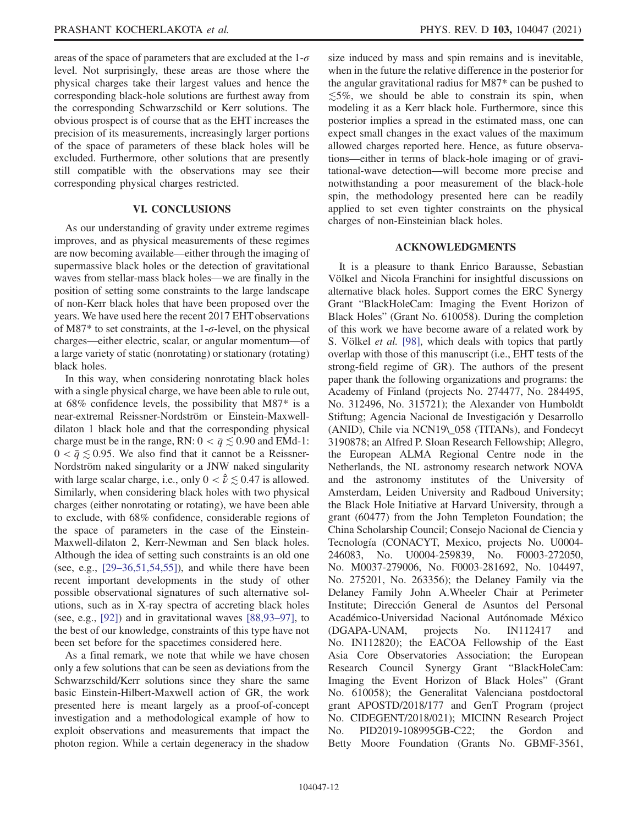areas of the space of parameters that are excluded at the  $1-\sigma$ level. Not surprisingly, these areas are those where the physical charges take their largest values and hence the corresponding black-hole solutions are furthest away from the corresponding Schwarzschild or Kerr solutions. The obvious prospect is of course that as the EHT increases the precision of its measurements, increasingly larger portions of the space of parameters of these black holes will be excluded. Furthermore, other solutions that are presently still compatible with the observations may see their corresponding physical charges restricted.

#### **VI. CONCLUSIONS**  $\overline{\phantom{a}}$

As our understanding of gravity under extreme regimes improves, and as physical measurements of these regimes are now becoming available—either through the imaging of supermassive black holes or the detection of gravitational waves from stellar-mass black holes—we are finally in the position of setting some constraints to the large landscape of non-Kerr black holes that have been proposed over the years. We have used here the recent 2017 EHT observations of M87 $*$  to set constraints, at the 1- $\sigma$ -level, on the physical charges—either electric, scalar, or angular momentum—of a large variety of static (nonrotating) or stationary (rotating) black holes.

In this way, when considering nonrotating black holes with a single physical charge, we have been able to rule out, at 68% confidence levels, the possibility that M87\* is a near-extremal Reissner-Nordström or Einstein-Maxwelldilaton 1 black hole and that the corresponding physical charge must be in the range, RN:  $0 < \bar{q} \lesssim 0.90$  and EMd-1:  $0 < \bar{q} \leq 0.95$ . We also find that it cannot be a Reissner-Nordström naked singularity or a JNW naked singularity with large scalar charge, i.e., only  $0 < \hat{v} \lesssim 0.47$  is allowed. Similarly, when considering black holes with two physical charges (either nonrotating or rotating), we have been able to exclude, with 68% confidence, considerable regions of the space of parameters in the case of the Einstein-Maxwell-dilaton 2, Kerr-Newman and Sen black holes. Although the idea of setting such constraints is an old one (see, e.g.,  $[29-36,51,54,55]$  $[29-36,51,54,55]$ ), and while there have been recent important developments in the study of other possible observational signatures of such alternative solutions, such as in X-ray spectra of accreting black holes (see, e.g., [\[92\]\)](#page-16-28) and in gravitational waves [\[88,93](#page-16-21)–97], to the best of our knowledge, constraints of this type have not been set before for the spacetimes considered here.

As a final remark, we note that while we have chosen only a few solutions that can be seen as deviations from the Schwarzschild/Kerr solutions since they share the same basic Einstein-Hilbert-Maxwell action of GR, the work presented here is meant largely as a proof-of-concept investigation and a methodological example of how to exploit observations and measurements that impact the photon region. While a certain degeneracy in the shadow size induced by mass and spin remains and is inevitable, when in the future the relative difference in the posterior for the angular gravitational radius for M87\* can be pushed to  $\leq 5\%$ , we should be able to constrain its spin, when modeling it as a Kerr black hole. Furthermore, since this posterior implies a spread in the estimated mass, one can expect small changes in the exact values of the maximum allowed charges reported here. Hence, as future observations—either in terms of black-hole imaging or of gravitational-wave detection—will become more precise and notwithstanding a poor measurement of the black-hole spin, the methodology presented here can be readily applied to set even tighter constraints on the physical charges of non-Einsteinian black holes.

# ACKNOWLEDGMENTS

It is a pleasure to thank Enrico Barausse, Sebastian Völkel and Nicola Franchini for insightful discussions on alternative black holes. Support comes the ERC Synergy Grant "BlackHoleCam: Imaging the Event Horizon of Black Holes" (Grant No. 610058). During the completion of this work we have become aware of a related work by S. Völkel et al. [\[98\]](#page-17-0), which deals with topics that partly overlap with those of this manuscript (i.e., EHT tests of the strong-field regime of GR). The authors of the present paper thank the following organizations and programs: the Academy of Finland (projects No. 274477, No. 284495, No. 312496, No. 315721); the Alexander von Humboldt Stiftung; Agencia Nacional de Investigación y Desarrollo (ANID), Chile via NCN19\\_058 (TITANs), and Fondecyt 3190878; an Alfred P. Sloan Research Fellowship; Allegro, the European ALMA Regional Centre node in the Netherlands, the NL astronomy research network NOVA and the astronomy institutes of the University of Amsterdam, Leiden University and Radboud University; the Black Hole Initiative at Harvard University, through a grant (60477) from the John Templeton Foundation; the China Scholarship Council; Consejo Nacional de Ciencia y Tecnología (CONACYT, Mexico, projects No. U0004- 246083, No. U0004-259839, No. F0003-272050, No. M0037-279006, No. F0003-281692, No. 104497, No. 275201, No. 263356); the Delaney Family via the Delaney Family John A.Wheeler Chair at Perimeter Institute; Dirección General de Asuntos del Personal Académico-Universidad Nacional Autónomade México (DGAPA-UNAM, projects No. IN112417 and No. IN112820); the EACOA Fellowship of the East Asia Core Observatories Association; the European Research Council Synergy Grant "BlackHoleCam: Imaging the Event Horizon of Black Holes" (Grant No. 610058); the Generalitat Valenciana postdoctoral grant APOSTD/2018/177 and GenT Program (project No. CIDEGENT/2018/021); MICINN Research Project No. PID2019-108995GB-C22; the Gordon and Betty Moore Foundation (Grants No. GBMF-3561,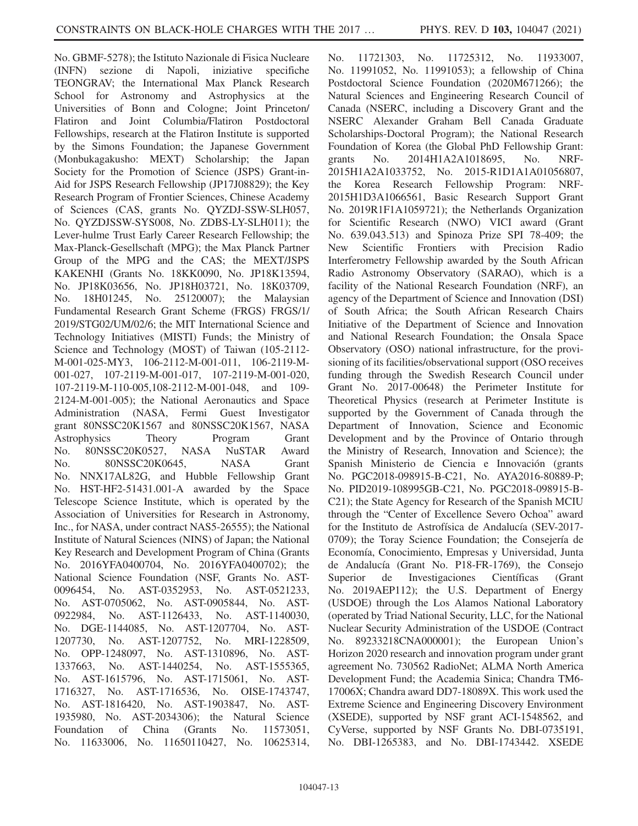No. GBMF-5278); the Istituto Nazionale di Fisica Nucleare (INFN) sezione di Napoli, iniziative specifiche TEONGRAV; the International Max Planck Research School for Astronomy and Astrophysics at the Universities of Bonn and Cologne; Joint Princeton/ Flatiron and Joint Columbia/Flatiron Postdoctoral Fellowships, research at the Flatiron Institute is supported by the Simons Foundation; the Japanese Government (Monbukagakusho: MEXT) Scholarship; the Japan Society for the Promotion of Science (JSPS) Grant-in-Aid for JSPS Research Fellowship (JP17J08829); the Key Research Program of Frontier Sciences, Chinese Academy of Sciences (CAS, grants No. QYZDJ-SSW-SLH057, No. QYZDJSSW-SYS008, No. ZDBS-LY-SLH011); the Lever-hulme Trust Early Career Research Fellowship; the Max-Planck-Gesellschaft (MPG); the Max Planck Partner Group of the MPG and the CAS; the MEXT/JSPS KAKENHI (Grants No. 18KK0090, No. JP18K13594, No. JP18K03656, No. JP18H03721, No. 18K03709, No. 18H01245, No. 25120007); the Malaysian Fundamental Research Grant Scheme (FRGS) FRGS/1/ 2019/STG02/UM/02/6; the MIT International Science and Technology Initiatives (MISTI) Funds; the Ministry of Science and Technology (MOST) of Taiwan (105-2112- M-001-025-MY3, 106-2112-M-001-011, 106-2119-M-001-027, 107-2119-M-001-017, 107-2119-M-001-020, 107-2119-M-110-005,108-2112-M-001-048, and 109- 2124-M-001-005); the National Aeronautics and Space Administration (NASA, Fermi Guest Investigator grant 80NSSC20K1567 and 80NSSC20K1567, NASA Astrophysics Theory Program Grant No. 80NSSC20K0527, NASA NuSTAR Award No. 80NSSC20K0645, NASA Grant No. NNX17AL82G, and Hubble Fellowship Grant No. HST-HF2-51431.001-A awarded by the Space Telescope Science Institute, which is operated by the Association of Universities for Research in Astronomy, Inc., for NASA, under contract NAS5-26555); the National Institute of Natural Sciences (NINS) of Japan; the National Key Research and Development Program of China (Grants No. 2016YFA0400704, No. 2016YFA0400702); the National Science Foundation (NSF, Grants No. AST-0096454, No. AST-0352953, No. AST-0521233, No. AST-0705062, No. AST-0905844, No. AST-0922984, No. AST-1126433, No. AST-1140030, No. DGE-1144085, No. AST-1207704, No. AST-1207730, No. AST-1207752, No. MRI-1228509, No. OPP-1248097, No. AST-1310896, No. AST-1337663, No. AST-1440254, No. AST-1555365, No. AST-1615796, No. AST-1715061, No. AST-1716327, No. AST-1716536, No. OISE-1743747, No. AST-1816420, No. AST-1903847, No. AST-1935980, No. AST-2034306); the Natural Science Foundation of China (Grants No. 11573051, No. 11633006, No. 11650110427, No. 10625314,

No. 11721303, No. 11725312, No. 11933007, No. 11991052, No. 11991053); a fellowship of China Postdoctoral Science Foundation (2020M671266); the Natural Sciences and Engineering Research Council of Canada (NSERC, including a Discovery Grant and the NSERC Alexander Graham Bell Canada Graduate Scholarships-Doctoral Program); the National Research Foundation of Korea (the Global PhD Fellowship Grant: grants No. 2014H1A2A1018695, No. NRF-2015H1A2A1033752, No. 2015-R1D1A1A01056807, the Korea Research Fellowship Program: NRF-2015H1D3A1066561, Basic Research Support Grant No. 2019R1F1A1059721); the Netherlands Organization for Scientific Research (NWO) VICI award (Grant No. 639.043.513) and Spinoza Prize SPI 78-409; the New Scientific Frontiers with Precision Radio Interferometry Fellowship awarded by the South African Radio Astronomy Observatory (SARAO), which is a facility of the National Research Foundation (NRF), an agency of the Department of Science and Innovation (DSI) of South Africa; the South African Research Chairs Initiative of the Department of Science and Innovation and National Research Foundation; the Onsala Space Observatory (OSO) national infrastructure, for the provisioning of its facilities/observational support (OSO receives funding through the Swedish Research Council under Grant No. 2017-00648) the Perimeter Institute for Theoretical Physics (research at Perimeter Institute is supported by the Government of Canada through the Department of Innovation, Science and Economic Development and by the Province of Ontario through the Ministry of Research, Innovation and Science); the Spanish Ministerio de Ciencia e Innovación (grants No. PGC2018-098915-B-C21, No. AYA2016-80889-P; No. PID2019-108995GB-C21, No. PGC2018-098915-B-C21); the State Agency for Research of the Spanish MCIU through the "Center of Excellence Severo Ochoa" award for the Instituto de Astrofísica de Andalucía (SEV-2017- 0709); the Toray Science Foundation; the Consejería de Economía, Conocimiento, Empresas y Universidad, Junta de Andalucía (Grant No. P18-FR-1769), the Consejo Superior de Investigaciones Científicas (Grant No. 2019AEP112); the U.S. Department of Energy (USDOE) through the Los Alamos National Laboratory (operated by Triad National Security, LLC, for the National Nuclear Security Administration of the USDOE (Contract No. 89233218CNA000001); the European Union's Horizon 2020 research and innovation program under grant agreement No. 730562 RadioNet; ALMA North America Development Fund; the Academia Sinica; Chandra TM6- 17006X; Chandra award DD7-18089X. This work used the Extreme Science and Engineering Discovery Environment (XSEDE), supported by NSF grant ACI-1548562, and CyVerse, supported by NSF Grants No. DBI-0735191, No. DBI-1265383, and No. DBI-1743442. XSEDE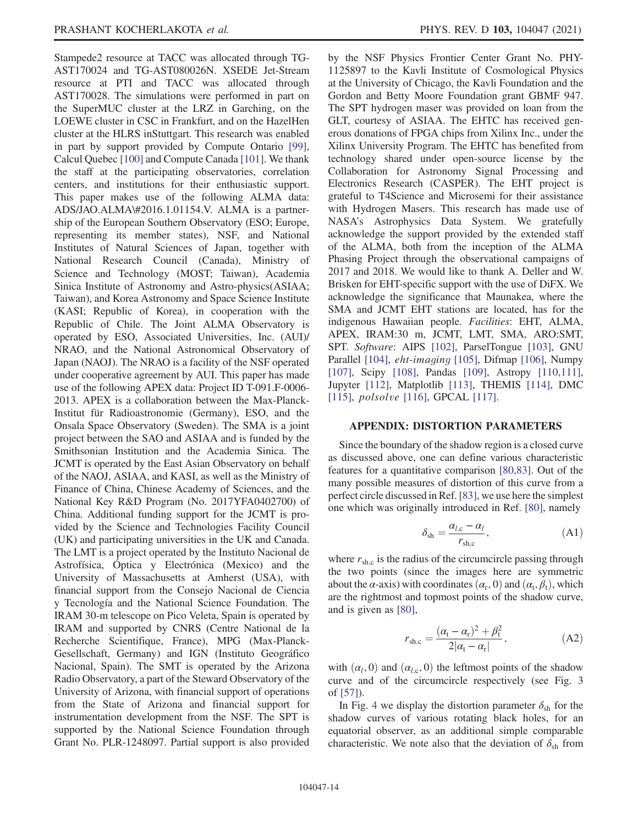Stampede2 resource at TACC was allocated through TG-AST170024 and TG-AST080026N. XSEDE Jet-Stream resource at PTI and TACC was allocated through AST170028. The simulations were performed in part on the SuperMUC cluster at the LRZ in Garching, on the LOEWE cluster in CSC in Frankfurt, and on the HazelHen cluster at the HLRS inStuttgart. This research was enabled in part by support provided by Compute Ontario [\[99\]](#page-17-1), Calcul Quebec [\[100\]](#page-17-2) and Compute Canada [\[101\]](#page-17-3). We thank the staff at the participating observatories, correlation centers, and institutions for their enthusiastic support. This paper makes use of the following ALMA data: ADS/JAO.ALMA\#2016.1.01154.V. ALMA is a partnership of the European Southern Observatory (ESO; Europe, representing its member states), NSF, and National Institutes of Natural Sciences of Japan, together with National Research Council (Canada), Ministry of Science and Technology (MOST; Taiwan), Academia Sinica Institute of Astronomy and Astro-physics(ASIAA; Taiwan), and Korea Astronomy and Space Science Institute (KASI; Republic of Korea), in cooperation with the Republic of Chile. The Joint ALMA Observatory is operated by ESO, Associated Universities, Inc. (AUI)/ NRAO, and the National Astronomical Observatory of Japan (NAOJ). The NRAO is a facility of the NSF operated under cooperative agreement by AUI. This paper has made use of the following APEX data: Project ID T-091.F-0006- 2013. APEX is a collaboration between the Max-Planck-Institut für Radioastronomie (Germany), ESO, and the Onsala Space Observatory (Sweden). The SMA is a joint project between the SAO and ASIAA and is funded by the Smithsonian Institution and the Academia Sinica. The JCMT is operated by the East Asian Observatory on behalf of the NAOJ, ASIAA, and KASI, as well as the Ministry of Finance of China, Chinese Academy of Sciences, and the National Key R&D Program (No. 2017YFA0402700) of China. Additional funding support for the JCMT is provided by the Science and Technologies Facility Council (UK) and participating universities in the UK and Canada. The LMT is a project operated by the Instituto Nacional de Astrofísica, Óptica y Electrónica (Mexico) and the University of Massachusetts at Amherst (USA), with financial support from the Consejo Nacional de Ciencia y Tecnología and the National Science Foundation. The IRAM 30-m telescope on Pico Veleta, Spain is operated by IRAM and supported by CNRS (Centre National de la Recherche Scientifique, France), MPG (Max-Planck-Gesellschaft, Germany) and IGN (Instituto Geográfico Nacional, Spain). The SMT is operated by the Arizona Radio Observatory, a part of the Steward Observatory of the University of Arizona, with financial support of operations from the State of Arizona and financial support for instrumentation development from the NSF. The SPT is supported by the National Science Foundation through Grant No. PLR-1248097. Partial support is also provided by the NSF Physics Frontier Center Grant No. PHY-1125897 to the Kavli Institute of Cosmological Physics at the University of Chicago, the Kavli Foundation and the Gordon and Betty Moore Foundation grant GBMF 947. The SPT hydrogen maser was provided on loan from the GLT, courtesy of ASIAA. The EHTC has received generous donations of FPGA chips from Xilinx Inc., under the Xilinx University Program. The EHTC has benefited from technology shared under open-source license by the Collaboration for Astronomy Signal Processing and Electronics Research (CASPER). The EHT project is grateful to T4Science and Microsemi for their assistance with Hydrogen Masers. This research has made use of NASA's Astrophysics Data System. We gratefully acknowledge the support provided by the extended staff of the ALMA, both from the inception of the ALMA Phasing Project through the observational campaigns of 2017 and 2018. We would like to thank A. Deller and W. Brisken for EHT-specific support with the use of DiFX. We acknowledge the significance that Maunakea, where the SMA and JCMT EHT stations are located, has for the indigenous Hawaiian people. Facilities: EHT, ALMA, APEX, IRAM:30 m, JCMT, LMT, SMA, ARO:SMT, SPT. Software: AIPS [\[102\],](#page-17-4) ParselTongue [\[103\]](#page-17-5), GNU Parallel [\[104\]](#page-17-6), eht-imaging [\[105\]](#page-17-7), Difmap [\[106\]](#page-17-8), Numpy [\[107\]](#page-17-9), Scipy [\[108\],](#page-17-10) Pandas [\[109\]](#page-17-11), Astropy [\[110,111\]](#page-17-12), Jupyter [\[112\],](#page-17-13) Matplotlib [\[113\]](#page-17-14), THEMIS [\[114\]](#page-17-15), DMC [\[115\]](#page-17-16), *polsolve* [\[116\],](#page-17-17) GPCAL [\[117\]](#page-17-18).

## APPENDIX: DISTORTION PARAMETERS

Since the boundary of the shadow region is a closed curve as discussed above, one can define various characteristic features for a quantitative comparison [\[80,83\].](#page-16-13) Out of the many possible measures of distortion of this curve from a perfect circle discussed in Ref.[\[83\],](#page-16-14) we use here the simplest one which was originally introduced in Ref. [\[80\]](#page-16-13), namely

$$
\delta_{\rm sh} = \frac{\alpha_{l,c} - \alpha_l}{r_{\rm sh,c}},\tag{A1}
$$

where  $r_{\text{sh.c}}$  is the radius of the circumcircle passing through the two points (since the images here are symmetric about the  $\alpha$ -axis) with coordinates  $(\alpha_r, 0)$  and  $(\alpha_t, \beta_t)$ , which are the rightmost and topmost points of the shadow curve, and is given as [\[80\]](#page-16-13),

$$
r_{\rm sh,c} = \frac{(\alpha_{\rm t} - \alpha_{\rm r})^2 + \beta_{\rm t}^2}{2|\alpha_{\rm t} - \alpha_{\rm r}|},
$$
 (A2)

with  $(\alpha_l, 0)$  and  $(\alpha_{l,c}, 0)$  the leftmost points of the shadow curve and of the circumcircle respectively (see Fig. 3 of [\[57\]](#page-16-27)).

In Fig. [4](#page-14-8) we display the distortion parameter  $\delta_{sh}$  for the shadow curves of various rotating black holes, for an equatorial observer, as an additional simple comparable characteristic. We note also that the deviation of  $\delta_{sh}$  from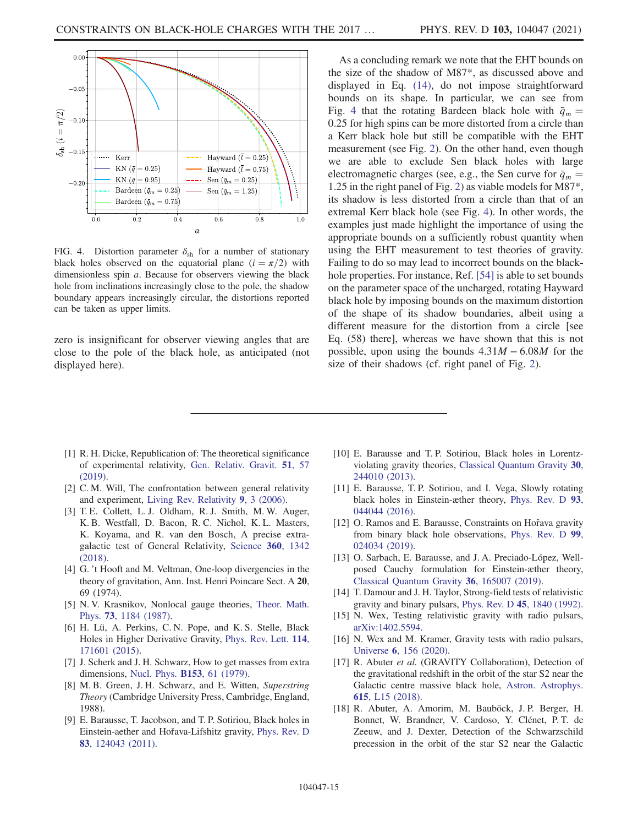<span id="page-14-8"></span>

FIG. 4. Distortion parameter  $\delta_{sh}$  for a number of stationary black holes observed on the equatorial plane  $(i = \pi/2)$  with dimensionless spin *a*. Because for observers viewing the black hole from inclinations increasingly close to the pole, the shadow boundary appears increasingly circular, the distortions reported can be taken as upper limits.

zero is insignificant for observer viewing angles that are close to the pole of the black hole, as anticipated (not displayed here).

As a concluding remark we note that the EHT bounds on the size of the shadow of M87\*, as discussed above and displayed in Eq. [\(14\),](#page-7-0) do not impose straightforward bounds on its shape. In particular, we can see from Fig. [4](#page-14-8) that the rotating Bardeen black hole with  $\bar{q}_m =$ 0.25 for high spins can be more distorted from a circle than a Kerr black hole but still be compatible with the EHT measurement (see Fig. [2\)](#page-10-0). On the other hand, even though we are able to exclude Sen black holes with large electromagnetic charges (see, e.g., the Sen curve for  $\bar{q}_m$  = 1.25 in the right panel of Fig. [2\)](#page-10-0) as viable models for M87\*, its shadow is less distorted from a circle than that of an extremal Kerr black hole (see Fig. [4](#page-14-8)). In other words, the examples just made highlight the importance of using the appropriate bounds on a sufficiently robust quantity when using the EHT measurement to test theories of gravity. Failing to do so may lead to incorrect bounds on the blackhole properties. For instance, Ref. [\[54\]](#page-16-29) is able to set bounds on the parameter space of the uncharged, rotating Hayward black hole by imposing bounds on the maximum distortion of the shape of its shadow boundaries, albeit using a different measure for the distortion from a circle [see Eq. (58) there], whereas we have shown that this is not possible, upon using the bounds  $4.31M - 6.08M$  for the size of their shadows (cf. right panel of Fig. [2\)](#page-10-0).

- <span id="page-14-0"></span>[1] R. H. Dicke, Republication of: The theoretical significance of experimental relativity, [Gen. Relativ. Gravit.](https://doi.org/10.1007/s10714-019-2509-2) 51, 57 [\(2019\).](https://doi.org/10.1007/s10714-019-2509-2)
- <span id="page-14-1"></span>[2] C. M. Will, The confrontation between general relativity and experiment, [Living Rev. Relativity](https://doi.org/10.12942/lrr-2006-3) 9, 3 (2006).
- [3] T. E. Collett, L. J. Oldham, R. J. Smith, M. W. Auger, K. B. Westfall, D. Bacon, R. C. Nichol, K. L. Masters, K. Koyama, and R. van den Bosch, A precise extragalactic test of General Relativity, [Science](https://doi.org/10.1126/science.aao2469) 360, 1342 [\(2018\)](https://doi.org/10.1126/science.aao2469).
- <span id="page-14-2"></span>[4] G. 't Hooft and M. Veltman, One-loop divergencies in the theory of gravitation, Ann. Inst. Henri Poincare Sect. A 20, 69 (1974).
- [5] N. V. Krasnikov, Nonlocal gauge theories, [Theor. Math.](https://doi.org/10.1007/BF01017588) Phys. 73[, 1184 \(1987\)](https://doi.org/10.1007/BF01017588).
- [6] H. Lü, A. Perkins, C. N. Pope, and K. S. Stelle, Black Holes in Higher Derivative Gravity, [Phys. Rev. Lett.](https://doi.org/10.1103/PhysRevLett.114.171601) 114, [171601 \(2015\).](https://doi.org/10.1103/PhysRevLett.114.171601)
- <span id="page-14-3"></span>[7] J. Scherk and J. H. Schwarz, How to get masses from extra dimensions, [Nucl. Phys.](https://doi.org/10.1016/0550-3213(79)90592-3) B153, 61 (1979).
- [8] M. B. Green, J. H. Schwarz, and E. Witten, Superstring Theory (Cambridge University Press, Cambridge, England, 1988).
- <span id="page-14-4"></span>[9] E. Barausse, T. Jacobson, and T. P. Sotiriou, Black holes in Einstein-aether and Hořava-Lifshitz gravity, [Phys. Rev. D](https://doi.org/10.1103/PhysRevD.83.124043) 83[, 124043 \(2011\).](https://doi.org/10.1103/PhysRevD.83.124043)
- [10] E. Barausse and T. P. Sotiriou, Black holes in Lorentzviolating gravity theories, [Classical Quantum Gravity](https://doi.org/10.1088/0264-9381/30/24/244010) 30, [244010 \(2013\).](https://doi.org/10.1088/0264-9381/30/24/244010)
- [11] E. Barausse, T. P. Sotiriou, and I. Vega, Slowly rotating black holes in Einstein-æther theory, [Phys. Rev. D](https://doi.org/10.1103/PhysRevD.93.044044) 93, [044044 \(2016\).](https://doi.org/10.1103/PhysRevD.93.044044)
- [12] O. Ramos and E. Barausse, Constraints on Hořava gravity from binary black hole observations, [Phys. Rev. D](https://doi.org/10.1103/PhysRevD.99.024034) 99, [024034 \(2019\).](https://doi.org/10.1103/PhysRevD.99.024034)
- [13] O. Sarbach, E. Barausse, and J. A. Preciado-López, Wellposed Cauchy formulation for Einstein-æther theory, [Classical Quantum Gravity](https://doi.org/10.1088/1361-6382/ab2e13) 36, 165007 (2019).
- <span id="page-14-5"></span>[14] T. Damour and J. H. Taylor, Strong-field tests of relativistic gravity and binary pulsars, Phys. Rev. D 45[, 1840 \(1992\).](https://doi.org/10.1103/PhysRevD.45.1840)
- [15] N. Wex, Testing relativistic gravity with radio pulsars, [arXiv:1402.5594.](https://arXiv.org/abs/1402.5594)
- [16] N. Wex and M. Kramer, Gravity tests with radio pulsars, Universe <sup>6</sup>[, 156 \(2020\).](https://doi.org/10.3390/universe6090156)
- <span id="page-14-6"></span>[17] R. Abuter et al. (GRAVITY Collaboration), Detection of the gravitational redshift in the orbit of the star S2 near the Galactic centre massive black hole, [Astron. Astrophys.](https://doi.org/10.1051/0004-6361/201833718) 615[, L15 \(2018\)](https://doi.org/10.1051/0004-6361/201833718).
- <span id="page-14-7"></span>[18] R. Abuter, A. Amorim, M. Bauböck, J. P. Berger, H. Bonnet, W. Brandner, V. Cardoso, Y. Clénet, P. T. de Zeeuw, and J. Dexter, Detection of the Schwarzschild precession in the orbit of the star S2 near the Galactic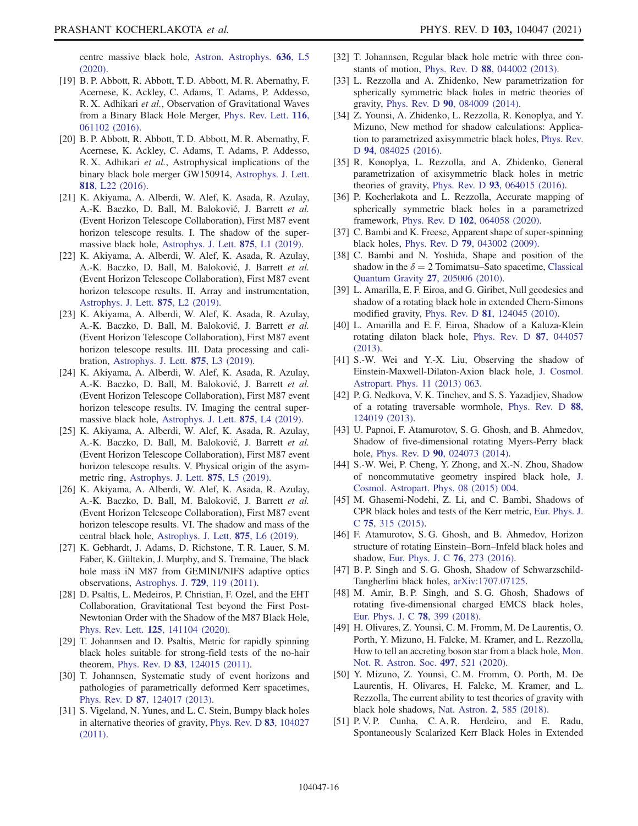centre massive black hole, [Astron. Astrophys.](https://doi.org/10.1051/0004-6361/202037813) 636, L5 [\(2020\).](https://doi.org/10.1051/0004-6361/202037813)

- <span id="page-15-0"></span>[19] B. P. Abbott, R. Abbott, T. D. Abbott, M. R. Abernathy, F. Acernese, K. Ackley, C. Adams, T. Adams, P. Addesso, R. X. Adhikari et al., Observation of Gravitational Waves from a Binary Black Hole Merger, [Phys. Rev. Lett.](https://doi.org/10.1103/PhysRevLett.116.061102) 116, [061102 \(2016\).](https://doi.org/10.1103/PhysRevLett.116.061102)
- [20] B. P. Abbott, R. Abbott, T. D. Abbott, M. R. Abernathy, F. Acernese, K. Ackley, C. Adams, T. Adams, P. Addesso, R. X. Adhikari et al., Astrophysical implications of the binary black hole merger GW150914, [Astrophys. J. Lett.](https://doi.org/10.3847/2041-8205/818/2/L22) 818[, L22 \(2016\)](https://doi.org/10.3847/2041-8205/818/2/L22).
- <span id="page-15-1"></span>[21] K. Akiyama, A. Alberdi, W. Alef, K. Asada, R. Azulay, A.-K. Baczko, D. Ball, M. Baloković, J. Barrett et al. (Event Horizon Telescope Collaboration), First M87 event horizon telescope results. I. The shadow of the supermassive black hole, [Astrophys. J. Lett.](https://doi.org/10.3847/2041-8213/ab0ec7) 875, L1 (2019).
- [22] K. Akiyama, A. Alberdi, W. Alef, K. Asada, R. Azulay, A.-K. Baczko, D. Ball, M. Baloković, J. Barrett et al. (Event Horizon Telescope Collaboration), First M87 event horizon telescope results. II. Array and instrumentation, [Astrophys. J. Lett.](https://doi.org/10.3847/2041-8213/ab0c96) 875, L2 (2019).
- [23] K. Akiyama, A. Alberdi, W. Alef, K. Asada, R. Azulay, A.-K. Baczko, D. Ball, M. Baloković, J. Barrett et al. (Event Horizon Telescope Collaboration), First M87 event horizon telescope results. III. Data processing and calibration, [Astrophys. J. Lett.](https://doi.org/10.3847/2041-8213/ab0c57) 875, L3 (2019).
- [24] K. Akiyama, A. Alberdi, W. Alef, K. Asada, R. Azulay, A.-K. Baczko, D. Ball, M. Baloković, J. Barrett et al. (Event Horizon Telescope Collaboration), First M87 event horizon telescope results. IV. Imaging the central supermassive black hole, [Astrophys. J. Lett.](https://doi.org/10.3847/2041-8213/ab0e85) 875, L4 (2019).
- <span id="page-15-8"></span>[25] K. Akiyama, A. Alberdi, W. Alef, K. Asada, R. Azulay, A.-K. Baczko, D. Ball, M. Baloković, J. Barrett et al. (Event Horizon Telescope Collaboration), First M87 event horizon telescope results. V. Physical origin of the asymmetric ring, [Astrophys. J. Lett.](https://doi.org/10.3847/2041-8213/ab0f43) 875, L5 (2019).
- <span id="page-15-7"></span>[26] K. Akiyama, A. Alberdi, W. Alef, K. Asada, R. Azulay, A.-K. Baczko, D. Ball, M. Baloković, J. Barrett et al. (Event Horizon Telescope Collaboration), First M87 event horizon telescope results. VI. The shadow and mass of the central black hole, [Astrophys. J. Lett.](https://doi.org/10.3847/2041-8213/ab1141) 875, L6 (2019).
- <span id="page-15-2"></span>[27] K. Gebhardt, J. Adams, D. Richstone, T. R. Lauer, S. M. Faber, K. Gültekin, J. Murphy, and S. Tremaine, The black hole mass iN M87 from GEMINI/NIFS adaptive optics observations, [Astrophys. J.](https://doi.org/10.1088/0004-637X/729/2/119) 729, 119 (2011).
- <span id="page-15-4"></span>[28] D. Psaltis, L. Medeiros, P. Christian, F. Ozel, and the EHT Collaboration, Gravitational Test beyond the First Post-Newtonian Order with the Shadow of the M87 Black Hole, Phys. Rev. Lett. 125[, 141104 \(2020\).](https://doi.org/10.1103/PhysRevLett.125.141104)
- <span id="page-15-3"></span>[29] T. Johannsen and D. Psaltis, Metric for rapidly spinning black holes suitable for strong-field tests of the no-hair theorem, Phys. Rev. D 83[, 124015 \(2011\).](https://doi.org/10.1103/PhysRevD.83.124015)
- [30] T. Johannsen, Systematic study of event horizons and pathologies of parametrically deformed Kerr spacetimes, Phys. Rev. D 87[, 124017 \(2013\)](https://doi.org/10.1103/PhysRevD.87.124017).
- [31] S. Vigeland, N. Yunes, and L. C. Stein, Bumpy black holes in alternative theories of gravity, [Phys. Rev. D](https://doi.org/10.1103/PhysRevD.83.104027) 83, 104027 [\(2011\).](https://doi.org/10.1103/PhysRevD.83.104027)
- [32] T. Johannsen, Regular black hole metric with three constants of motion, Phys. Rev. D 88[, 044002 \(2013\).](https://doi.org/10.1103/PhysRevD.88.044002)
- [33] L. Rezzolla and A. Zhidenko, New parametrization for spherically symmetric black holes in metric theories of gravity, Phys. Rev. D 90[, 084009 \(2014\).](https://doi.org/10.1103/PhysRevD.90.084009)
- [34] Z. Younsi, A. Zhidenko, L. Rezzolla, R. Konoplya, and Y. Mizuno, New method for shadow calculations: Application to parametrized axisymmetric black holes, [Phys. Rev.](https://doi.org/10.1103/PhysRevD.94.084025) D 94[, 084025 \(2016\).](https://doi.org/10.1103/PhysRevD.94.084025)
- [35] R. Konoplya, L. Rezzolla, and A. Zhidenko, General parametrization of axisymmetric black holes in metric theories of gravity, Phys. Rev. D 93[, 064015 \(2016\)](https://doi.org/10.1103/PhysRevD.93.064015).
- <span id="page-15-6"></span>[36] P. Kocherlakota and L. Rezzolla, Accurate mapping of spherically symmetric black holes in a parametrized framework, Phys. Rev. D 102[, 064058 \(2020\).](https://doi.org/10.1103/PhysRevD.102.064058)
- <span id="page-15-5"></span>[37] C. Bambi and K. Freese, Apparent shape of super-spinning black holes, Phys. Rev. D 79[, 043002 \(2009\).](https://doi.org/10.1103/PhysRevD.79.043002)
- [38] C. Bambi and N. Yoshida, Shape and position of the shadow in the  $\delta = 2$  Tomimatsu–Sato spacetime, [Classical](https://doi.org/10.1088/0264-9381/27/20/205006) [Quantum Gravity](https://doi.org/10.1088/0264-9381/27/20/205006) 27, 205006 (2010).
- [39] L. Amarilla, E. F. Eiroa, and G. Giribet, Null geodesics and shadow of a rotating black hole in extended Chern-Simons modified gravity, Phys. Rev. D 81[, 124045 \(2010\)](https://doi.org/10.1103/PhysRevD.81.124045).
- [40] L. Amarilla and E. F. Eiroa, Shadow of a Kaluza-Klein rotating dilaton black hole, [Phys. Rev. D](https://doi.org/10.1103/PhysRevD.87.044057) 87, 044057 [\(2013\).](https://doi.org/10.1103/PhysRevD.87.044057)
- [41] S.-W. Wei and Y.-X. Liu, Observing the shadow of Einstein-Maxwell-Dilaton-Axion black hole, [J. Cosmol.](https://doi.org/10.1088/1475-7516/2013/11/063) [Astropart. Phys. 11 \(2013\) 063.](https://doi.org/10.1088/1475-7516/2013/11/063)
- [42] P. G. Nedkova, V. K. Tinchev, and S. S. Yazadjiev, Shadow of a rotating traversable wormhole, [Phys. Rev. D](https://doi.org/10.1103/PhysRevD.88.124019) 88, [124019 \(2013\).](https://doi.org/10.1103/PhysRevD.88.124019)
- [43] U. Papnoi, F. Atamurotov, S. G. Ghosh, and B. Ahmedov, Shadow of five-dimensional rotating Myers-Perry black hole, Phys. Rev. D 90[, 024073 \(2014\)](https://doi.org/10.1103/PhysRevD.90.024073).
- [44] S.-W. Wei, P. Cheng, Y. Zhong, and X.-N. Zhou, Shadow of noncommutative geometry inspired black hole, [J.](https://doi.org/10.1088/1475-7516/2015/08/004) [Cosmol. Astropart. Phys. 08 \(2015\) 004.](https://doi.org/10.1088/1475-7516/2015/08/004)
- [45] M. Ghasemi-Nodehi, Z. Li, and C. Bambi, Shadows of CPR black holes and tests of the Kerr metric, [Eur. Phys. J.](https://doi.org/10.1140/epjc/s10052-015-3539-x) <sup>C</sup> 75[, 315 \(2015\)](https://doi.org/10.1140/epjc/s10052-015-3539-x).
- [46] F. Atamurotov, S. G. Ghosh, and B. Ahmedov, Horizon structure of rotating Einstein–Born–Infeld black holes and shadow, [Eur. Phys. J. C](https://doi.org/10.1140/epjc/s10052-016-4122-9) 76, 273 (2016).
- [47] B. P. Singh and S. G. Ghosh, Shadow of Schwarzschild-Tangherlini black holes, [arXiv:1707.07125](https://arXiv.org/abs/1707.07125).
- [48] M. Amir, B.P. Singh, and S.G. Ghosh, Shadows of rotating five-dimensional charged EMCS black holes, [Eur. Phys. J. C](https://doi.org/10.1140/epjc/s10052-018-5872-3) 78, 399 (2018).
- <span id="page-15-10"></span>[49] H. Olivares, Z. Younsi, C. M. Fromm, M. De Laurentis, O. Porth, Y. Mizuno, H. Falcke, M. Kramer, and L. Rezzolla, How to tell an accreting boson star from a black hole, [Mon.](https://doi.org/10.1093/mnras/staa1878) [Not. R. Astron. Soc.](https://doi.org/10.1093/mnras/staa1878) 497, 521 (2020).
- <span id="page-15-9"></span>[50] Y. Mizuno, Z. Younsi, C. M. Fromm, O. Porth, M. De Laurentis, H. Olivares, H. Falcke, M. Kramer, and L. Rezzolla, The current ability to test theories of gravity with black hole shadows, Nat. Astron. 2[, 585 \(2018\).](https://doi.org/10.1038/s41550-018-0449-5)
- [51] P. V. P. Cunha, C. A. R. Herdeiro, and E. Radu, Spontaneously Scalarized Kerr Black Holes in Extended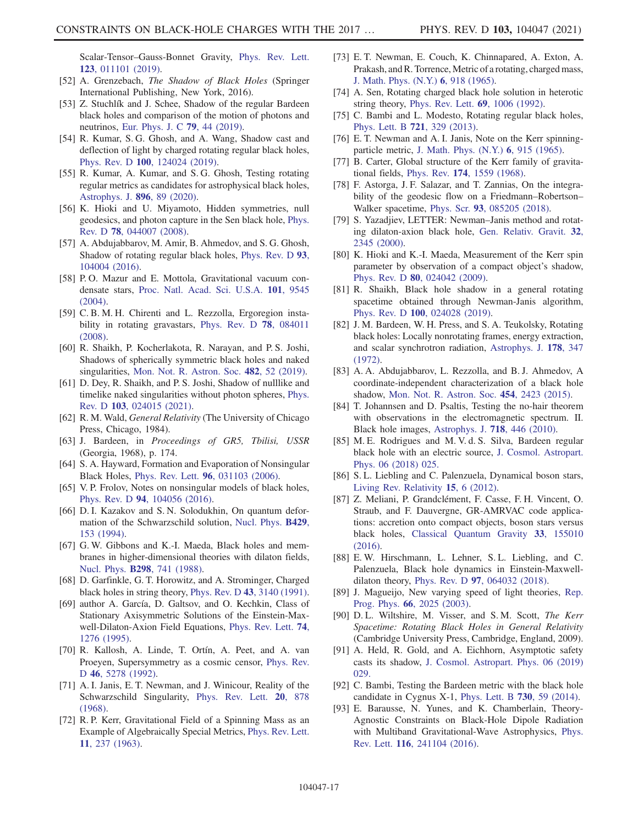Scalar-Tensor–Gauss-Bonnet Gravity, [Phys. Rev. Lett.](https://doi.org/10.1103/PhysRevLett.123.011101) 123[, 011101 \(2019\)](https://doi.org/10.1103/PhysRevLett.123.011101).

- <span id="page-16-0"></span>[52] A. Grenzebach, The Shadow of Black Holes (Springer International Publishing, New York, 2016).
- <span id="page-16-20"></span>[53] Z. Stuchlík and J. Schee, Shadow of the regular Bardeen black holes and comparison of the motion of photons and neutrinos, [Eur. Phys. J. C](https://doi.org/10.1140/epjc/s10052-019-6543-8) 79, 44 (2019).
- <span id="page-16-29"></span>[54] R. Kumar, S. G. Ghosh, and A. Wang, Shadow cast and deflection of light by charged rotating regular black holes, Phys. Rev. D 100[, 124024 \(2019\).](https://doi.org/10.1103/PhysRevD.100.124024)
- <span id="page-16-9"></span>[55] R. Kumar, A. Kumar, and S. G. Ghosh, Testing rotating regular metrics as candidates for astrophysical black holes, [Astrophys. J.](https://doi.org/10.3847/1538-4357/ab8c4a) 896, 89 (2020).
- <span id="page-16-10"></span>[56] K. Hioki and U. Miyamoto, Hidden symmetries, null geodesics, and photon capture in the Sen black hole, [Phys.](https://doi.org/10.1103/PhysRevD.78.044007) Rev. D 78[, 044007 \(2008\)](https://doi.org/10.1103/PhysRevD.78.044007).
- <span id="page-16-27"></span>[57] A. Abdujabbarov, M. Amir, B. Ahmedov, and S. G. Ghosh, Shadow of rotating regular black holes, [Phys. Rev. D](https://doi.org/10.1103/PhysRevD.93.104004) 93, [104004 \(2016\).](https://doi.org/10.1103/PhysRevD.93.104004)
- <span id="page-16-1"></span>[58] P. O. Mazur and E. Mottola, Gravitational vacuum condensate stars, [Proc. Natl. Acad. Sci. U.S.A.](https://doi.org/10.1073/pnas.0402717101) 101, 9545 [\(2004\).](https://doi.org/10.1073/pnas.0402717101)
- [59] C. B. M. H. Chirenti and L. Rezzolla, Ergoregion instability in rotating gravastars, [Phys. Rev. D](https://doi.org/10.1103/PhysRevD.78.084011) 78, 084011 [\(2008\).](https://doi.org/10.1103/PhysRevD.78.084011)
- <span id="page-16-2"></span>[60] R. Shaikh, P. Kocherlakota, R. Narayan, and P. S. Joshi, Shadows of spherically symmetric black holes and naked singularities, [Mon. Not. R. Astron. Soc.](https://doi.org/10.1093/mnras/sty2624) 482, 52 (2019).
- [61] D. Dey, R. Shaikh, and P. S. Joshi, Shadow of nulllike and timelike naked singularities without photon spheres, [Phys.](https://doi.org/10.1103/PhysRevD.103.024015) Rev. D 103[, 024015 \(2021\).](https://doi.org/10.1103/PhysRevD.103.024015)
- <span id="page-16-3"></span>[62] R. M. Wald, *General Relativity* (The University of Chicago Press, Chicago, 1984).
- <span id="page-16-4"></span>[63] J. Bardeen, in Proceedings of GR5, Tbilisi, USSR (Georgia, 1968), p. 174.
- <span id="page-16-24"></span>[64] S. A. Hayward, Formation and Evaporation of Nonsingular Black Holes, Phys. Rev. Lett. 96[, 031103 \(2006\).](https://doi.org/10.1103/PhysRevLett.96.031103)
- <span id="page-16-23"></span>[65] V. P. Frolov, Notes on nonsingular models of black holes, Phys. Rev. D 94[, 104056 \(2016\)](https://doi.org/10.1103/PhysRevD.94.104056).
- <span id="page-16-5"></span>[66] D. I. Kazakov and S. N. Solodukhin, On quantum deformation of the Schwarzschild solution, [Nucl. Phys.](https://doi.org/10.1016/S0550-3213(94)80045-6) B429, [153 \(1994\)](https://doi.org/10.1016/S0550-3213(94)80045-6).
- <span id="page-16-16"></span>[67] G. W. Gibbons and K.-I. Maeda, Black holes and membranes in higher-dimensional theories with dilaton fields, Nucl. Phys. B298[, 741 \(1988\).](https://doi.org/10.1016/0550-3213(88)90006-5)
- [68] D. Garfinkle, G. T. Horowitz, and A. Strominger, Charged black holes in string theory, Phys. Rev. D 43[, 3140 \(1991\).](https://doi.org/10.1103/PhysRevD.43.3140)
- [69] author A. García, D. Galtsov, and O. Kechkin, Class of Stationary Axisymmetric Solutions of the Einstein-Maxwell-Dilaton-Axion Field Equations, [Phys. Rev. Lett.](https://doi.org/10.1103/PhysRevLett.74.1276) 74, [1276 \(1995\).](https://doi.org/10.1103/PhysRevLett.74.1276)
- <span id="page-16-17"></span>[70] R. Kallosh, A. Linde, T. Ortín, A. Peet, and A. van Proeyen, Supersymmetry as a cosmic censor, [Phys. Rev.](https://doi.org/10.1103/PhysRevD.46.5278) D 46[, 5278 \(1992\)](https://doi.org/10.1103/PhysRevD.46.5278).
- <span id="page-16-6"></span>[71] A. I. Janis, E. T. Newman, and J. Winicour, Reality of the Schwarzschild Singularity, [Phys. Rev. Lett.](https://doi.org/10.1103/PhysRevLett.20.878) 20, 878 [\(1968\).](https://doi.org/10.1103/PhysRevLett.20.878)
- <span id="page-16-7"></span>[72] R. P. Kerr, Gravitational Field of a Spinning Mass as an Example of Algebraically Special Metrics, [Phys. Rev. Lett.](https://doi.org/10.1103/PhysRevLett.11.237) 11[, 237 \(1963\)](https://doi.org/10.1103/PhysRevLett.11.237).
- <span id="page-16-22"></span>[73] E. T. Newman, E. Couch, K. Chinnapared, A. Exton, A. Prakash, and R. Torrence, Metric of a rotating, charged mass, [J. Math. Phys. \(N.Y.\)](https://doi.org/10.1063/1.1704351) 6, 918 (1965).
- <span id="page-16-25"></span>[74] A. Sen, Rotating charged black hole solution in heterotic string theory, [Phys. Rev. Lett.](https://doi.org/10.1103/PhysRevLett.69.1006) 69, 1006 (1992).
- <span id="page-16-18"></span>[75] C. Bambi and L. Modesto, Rotating regular black holes, [Phys. Lett. B](https://doi.org/10.1016/j.physletb.2013.03.025) 721, 329 (2013).
- <span id="page-16-8"></span>[76] E. T. Newman and A. I. Janis, Note on the Kerr spinningparticle metric, [J. Math. Phys. \(N.Y.\)](https://doi.org/10.1063/1.1704350) 6, 915 (1965).
- [77] B. Carter, Global structure of the Kerr family of gravitational fields, Phys. Rev. 174[, 1559 \(1968\)](https://doi.org/10.1103/PhysRev.174.1559).
- [78] F. Astorga, J. F. Salazar, and T. Zannias, On the integrability of the geodesic flow on a Friedmann–Robertson– Walker spacetime, Phys. Scr. 93[, 085205 \(2018\)](https://doi.org/10.1088/1402-4896/aacd44).
- <span id="page-16-15"></span>[79] S. Yazadjiev, LETTER: Newman–Janis method and rotating dilaton-axion black hole, [Gen. Relativ. Gravit.](https://doi.org/10.1023/A:1002080003862) 32, [2345 \(2000\).](https://doi.org/10.1023/A:1002080003862)
- <span id="page-16-13"></span>[80] K. Hioki and K.-I. Maeda, Measurement of the Kerr spin parameter by observation of a compact object's shadow, Phys. Rev. D 80[, 024042 \(2009\)](https://doi.org/10.1103/PhysRevD.80.024042).
- <span id="page-16-11"></span>[81] R. Shaikh, Black hole shadow in a general rotating spacetime obtained through Newman-Janis algorithm, Phys. Rev. D 100[, 024028 \(2019\).](https://doi.org/10.1103/PhysRevD.100.024028)
- <span id="page-16-12"></span>[82] J. M. Bardeen, W. H. Press, and S. A. Teukolsky, Rotating black holes: Locally nonrotating frames, energy extraction, and scalar synchrotron radiation, [Astrophys. J.](https://doi.org/10.1086/151796) 178, 347 [\(1972\).](https://doi.org/10.1086/151796)
- <span id="page-16-14"></span>[83] A. A. Abdujabbarov, L. Rezzolla, and B. J. Ahmedov, A coordinate-independent characterization of a black hole shadow, [Mon. Not. R. Astron. Soc.](https://doi.org/10.1093/mnras/stv2079) 454, 2423 (2015).
- [84] T. Johannsen and D. Psaltis, Testing the no-hair theorem with observations in the electromagnetic spectrum. II. Black hole images, [Astrophys. J.](https://doi.org/10.1088/0004-637X/718/1/446) 718, 446 (2010).
- [85] M. E. Rodrigues and M. V. d. S. Silva, Bardeen regular black hole with an electric source, [J. Cosmol. Astropart.](https://doi.org/10.1088/1475-7516/2018/06/025) [Phys. 06 \(2018\) 025.](https://doi.org/10.1088/1475-7516/2018/06/025)
- <span id="page-16-19"></span>[86] S.L. Liebling and C. Palenzuela, Dynamical boson stars, [Living Rev. Relativity](https://doi.org/10.12942/lrr-2012-6) 15, 6 (2012).
- [87] Z. Meliani, P. Grandclément, F. Casse, F. H. Vincent, O. Straub, and F. Dauvergne, GR-AMRVAC code applications: accretion onto compact objects, boson stars versus black holes, [Classical Quantum Gravity](https://doi.org/10.1088/0264-9381/33/15/155010) 33, 155010 [\(2016\).](https://doi.org/10.1088/0264-9381/33/15/155010)
- <span id="page-16-21"></span>[88] E.W. Hirschmann, L. Lehner, S.L. Liebling, and C. Palenzuela, Black hole dynamics in Einstein-Maxwelldilaton theory, Phys. Rev. D 97[, 064032 \(2018\).](https://doi.org/10.1103/PhysRevD.97.064032)
- <span id="page-16-26"></span>[89] J. Magueijo, New varying speed of light theories, [Rep.](https://doi.org/10.1088/0034-4885/66/11/R04) Prog. Phys. 66[, 2025 \(2003\).](https://doi.org/10.1088/0034-4885/66/11/R04)
- [90] D. L. Wiltshire, M. Visser, and S. M. Scott, The Kerr Spacetime: Rotating Black Holes in General Relativity (Cambridge University Press, Cambridge, England, 2009).
- [91] A. Held, R. Gold, and A. Eichhorn, Asymptotic safety casts its shadow, [J. Cosmol. Astropart. Phys. 06 \(2019\)](https://doi.org/10.1088/1475-7516/2019/06/029) [029.](https://doi.org/10.1088/1475-7516/2019/06/029)
- <span id="page-16-28"></span>[92] C. Bambi, Testing the Bardeen metric with the black hole candidate in Cygnus X-1, [Phys. Lett. B](https://doi.org/10.1016/j.physletb.2014.01.037) 730, 59 (2014).
- [93] E. Barausse, N. Yunes, and K. Chamberlain, Theory-Agnostic Constraints on Black-Hole Dipole Radiation with Multiband Gravitational-Wave Astrophysics, [Phys.](https://doi.org/10.1103/PhysRevLett.116.241104) Rev. Lett. 116[, 241104 \(2016\)](https://doi.org/10.1103/PhysRevLett.116.241104).